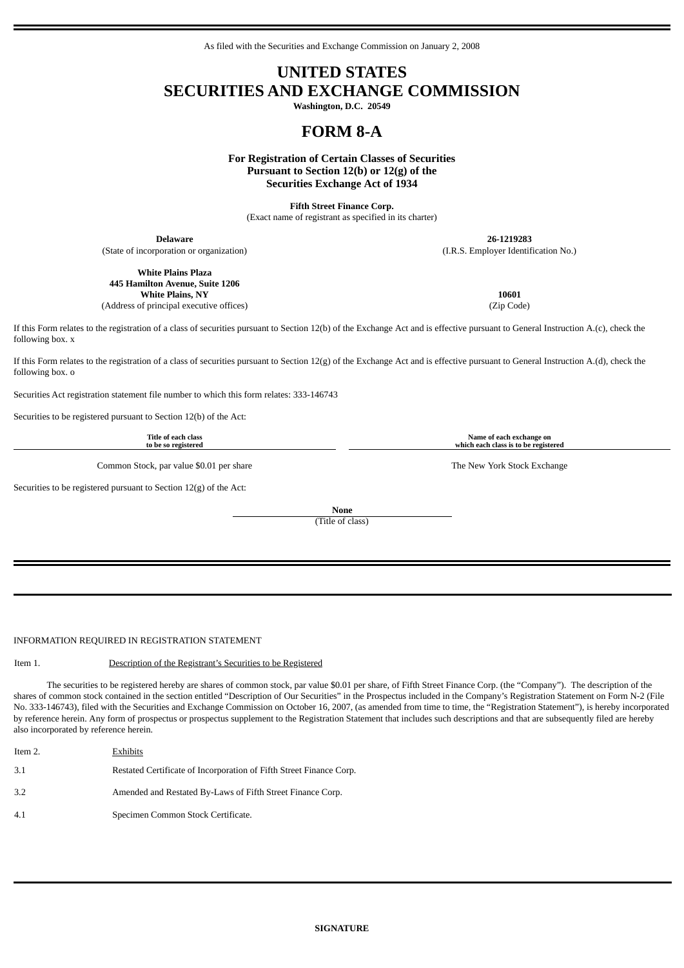As filed with the Securities and Exchange Commission on January 2, 2008

## **UNITED STATES SECURITIES AND EXCHANGE COMMISSION**

**Washington, D.C. 20549**

# **FORM 8-A**

**For Registration of Certain Classes of Securities Pursuant to Section 12(b) or 12(g) of the Securities Exchange Act of 1934**

**Fifth Street Finance Corp.** (Exact name of registrant as specified in its charter)

**Delaware 26-1219283**

(State of incorporation or organization) (I.R.S. Employer Identification No.)

**White Plains Plaza 445 Hamilton Avenue, Suite 1206 White Plains, NY 10601**

If this Form relates to the registration of a class of securities pursuant to Section 12(b) of the Exchange Act and is effective pursuant to General Instruction A.(c), check the following box. x

If this Form relates to the registration of a class of securities pursuant to Section  $12(g)$  of the Exchange Act and is effective pursuant to General Instruction A.(d), check the following box. o

Securities Act registration statement file number to which this form relates: 333-146743

Securities to be registered pursuant to Section 12(b) of the Act:

**Title of each class to be so registered**

Common Stock, par value \$0.01 per share The New York Stock Exchange The New York Stock Exchange

Securities to be registered pursuant to Section 12(g) of the Act:

**None**

(Title of class)

INFORMATION REQUIRED IN REGISTRATION STATEMENT

## Item 1. Description of the Registrant's Securities to be Registered

The securities to be registered hereby are shares of common stock, par value \$0.01 per share, of Fifth Street Finance Corp. (the "Company"). The description of the shares of common stock contained in the section entitled "Description of Our Securities" in the Prospectus included in the Company's Registration Statement on Form N-2 (File No. 333-146743), filed with the Securities and Exchange Commission on October 16, 2007, (as amended from time to time, the "Registration Statement"), is hereby incorporated by reference herein. Any form of prospectus or prospectus supplement to the Registration Statement that includes such descriptions and that are subsequently filed are hereby also incorporated by reference herein.

| Item 2. | Exhibits                                                            |
|---------|---------------------------------------------------------------------|
| 3.1     | Restated Certificate of Incorporation of Fifth Street Finance Corp. |
| 3.2     | Amended and Restated By-Laws of Fifth Street Finance Corp.          |
| 4.1     | Specimen Common Stock Certificate.                                  |

(Address of principal executive offices) (Zip Code)

**Name of each exchange on which each class is to be registered**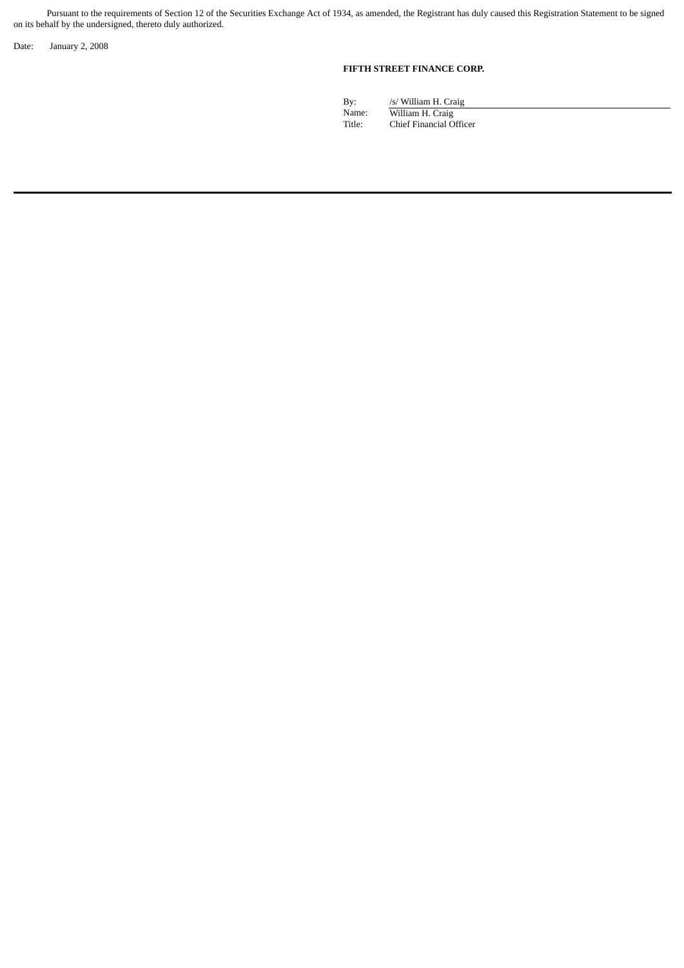Pursuant to the requirements of Section 12 of the Securities Exchange Act of 1934, as amended, the Registrant has duly caused this Registration Statement to be signed on its behalf by the undersigned, thereto duly authorized.

Date: January 2, 2008

## **FIFTH STREET FINANCE CORP.**

By: /s/ William H. Craig<br>Name: // William H. Craig Name: William H. Craig Title: Chief Financial Officer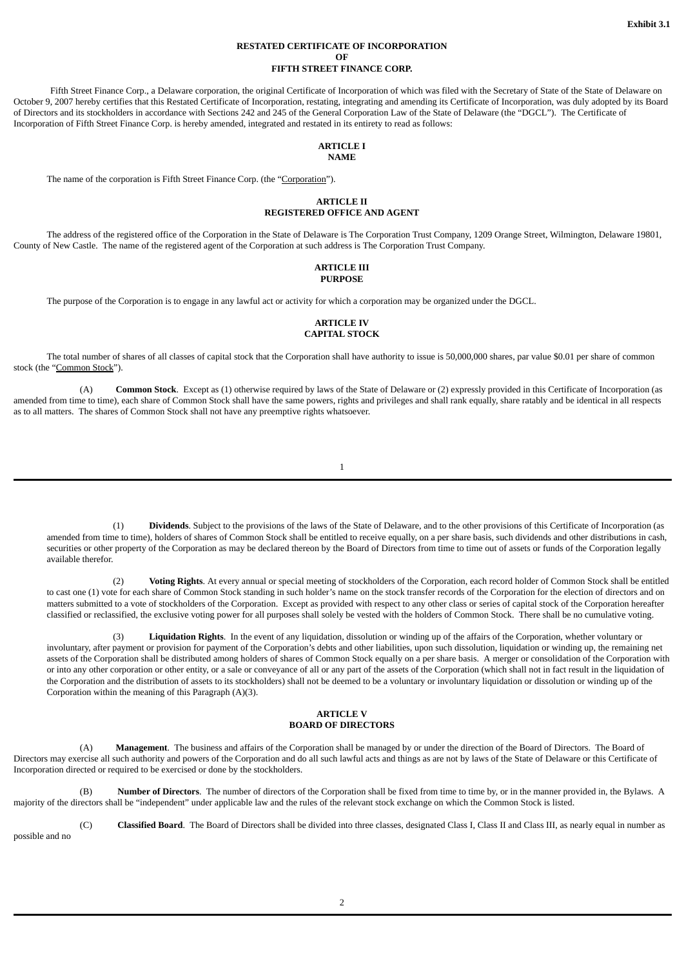#### **RESTATED CERTIFICATE OF INCORPORATION OF FIFTH STREET FINANCE CORP.**

Fifth Street Finance Corp., a Delaware corporation, the original Certificate of Incorporation of which was filed with the Secretary of State of the State of Delaware on October 9, 2007 hereby certifies that this Restated Certificate of Incorporation, restating, integrating and amending its Certificate of Incorporation, was duly adopted by its Board of Directors and its stockholders in accordance with Sections 242 and 245 of the General Corporation Law of the State of Delaware (the "DGCL"). The Certificate of Incorporation of Fifth Street Finance Corp. is hereby amended, integrated and restated in its entirety to read as follows:

#### **ARTICLE I NAME**

The name of the corporation is Fifth Street Finance Corp. (the "Corporation").

## **ARTICLE II REGISTERED OFFICE AND AGENT**

The address of the registered office of the Corporation in the State of Delaware is The Corporation Trust Company, 1209 Orange Street, Wilmington, Delaware 19801, County of New Castle. The name of the registered agent of the Corporation at such address is The Corporation Trust Company.

#### **ARTICLE III PURPOSE**

The purpose of the Corporation is to engage in any lawful act or activity for which a corporation may be organized under the DGCL.

#### **ARTICLE IV CAPITAL STOCK**

The total number of shares of all classes of capital stock that the Corporation shall have authority to issue is 50,000,000 shares, par value \$0.01 per share of common stock (the "Common Stock").

(A) **Common Stock**. Except as (1) otherwise required by laws of the State of Delaware or (2) expressly provided in this Certificate of Incorporation (as amended from time to time), each share of Common Stock shall have the same powers, rights and privileges and shall rank equally, share ratably and be identical in all respects as to all matters. The shares of Common Stock shall not have any preemptive rights whatsoever.

1

(1) **Dividends**. Subject to the provisions of the laws of the State of Delaware, and to the other provisions of this Certificate of Incorporation (as amended from time to time), holders of shares of Common Stock shall be entitled to receive equally, on a per share basis, such dividends and other distributions in cash, securities or other property of the Corporation as may be declared thereon by the Board of Directors from time to time out of assets or funds of the Corporation legally available therefor.

(2) **Voting Rights**. At every annual or special meeting of stockholders of the Corporation, each record holder of Common Stock shall be entitled to cast one (1) vote for each share of Common Stock standing in such holder's name on the stock transfer records of the Corporation for the election of directors and on matters submitted to a vote of stockholders of the Corporation. Except as provided with respect to any other class or series of capital stock of the Corporation hereafter classified or reclassified, the exclusive voting power for all purposes shall solely be vested with the holders of Common Stock. There shall be no cumulative voting.

(3) **Liquidation Rights**. In the event of any liquidation, dissolution or winding up of the affairs of the Corporation, whether voluntary or involuntary, after payment or provision for payment of the Corporation's debts and other liabilities, upon such dissolution, liquidation or winding up, the remaining net assets of the Corporation shall be distributed among holders of shares of Common Stock equally on a per share basis. A merger or consolidation of the Corporation with or into any other corporation or other entity, or a sale or conveyance of all or any part of the assets of the Corporation (which shall not in fact result in the liquidation of the Corporation and the distribution of assets to its stockholders) shall not be deemed to be a voluntary or involuntary liquidation or dissolution or winding up of the Corporation within the meaning of this Paragraph (A)(3).

## **ARTICLE V BOARD OF DIRECTORS**

(A) **Management**. The business and affairs of the Corporation shall be managed by or under the direction of the Board of Directors. The Board of Directors may exercise all such authority and powers of the Corporation and do all such lawful acts and things as are not by laws of the State of Delaware or this Certificate of Incorporation directed or required to be exercised or done by the stockholders.

(B) **Number of Directors**. The number of directors of the Corporation shall be fixed from time to time by, or in the manner provided in, the Bylaws. A majority of the directors shall be "independent" under applicable law and the rules of the relevant stock exchange on which the Common Stock is listed.

(C) **Classified Board**. The Board of Directors shall be divided into three classes, designated Class I, Class II and Class III, as nearly equal in number as possible and no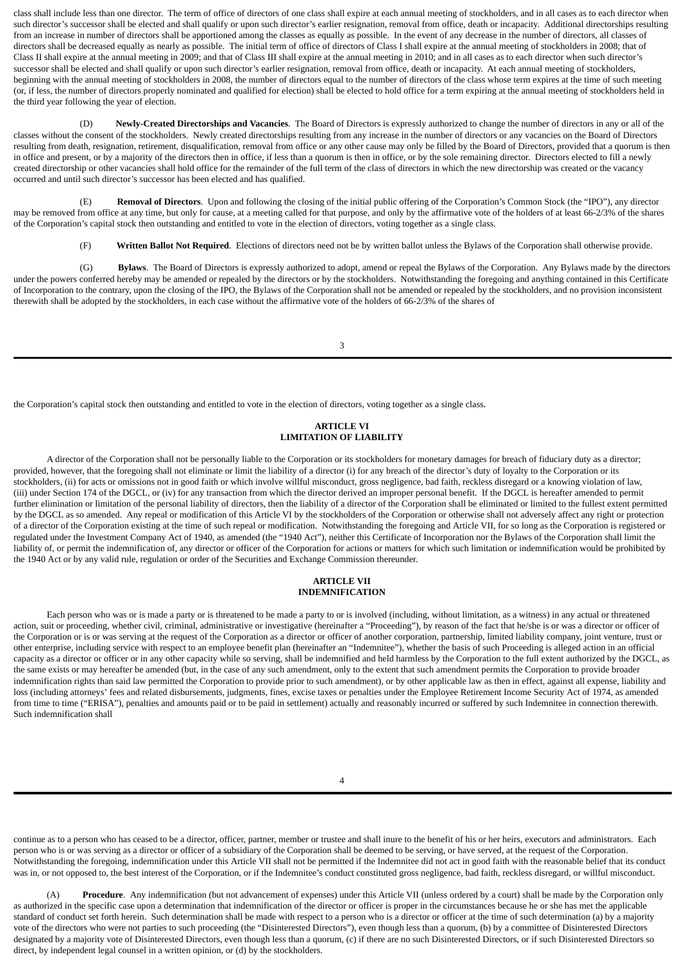class shall include less than one director. The term of office of directors of one class shall expire at each annual meeting of stockholders, and in all cases as to each director when such director's successor shall be elected and shall qualify or upon such director's earlier resignation, removal from office, death or incapacity. Additional directorships resulting from an increase in number of directors shall be apportioned among the classes as equally as possible. In the event of any decrease in the number of directors, all classes of directors shall be decreased equally as nearly as possible. The initial term of office of directors of Class I shall expire at the annual meeting of stockholders in 2008; that of Class II shall expire at the annual meeting in 2009; and that of Class III shall expire at the annual meeting in 2010; and in all cases as to each director when such director's successor shall be elected and shall qualify or upon such director's earlier resignation, removal from office, death or incapacity. At each annual meeting of stockholders, beginning with the annual meeting of stockholders in 2008, the number of directors equal to the number of directors of the class whose term expires at the time of such meeting (or, if less, the number of directors properly nominated and qualified for election) shall be elected to hold office for a term expiring at the annual meeting of stockholders held in the third year following the year of election.

(D) **Newly-Created Directorships and Vacancies**. The Board of Directors is expressly authorized to change the number of directors in any or all of the classes without the consent of the stockholders. Newly created directorships resulting from any increase in the number of directors or any vacancies on the Board of Directors resulting from death, resignation, retirement, disqualification, removal from office or any other cause may only be filled by the Board of Directors, provided that a quorum is then in office and present, or by a majority of the directors then in office, if less than a quorum is then in office, or by the sole remaining director. Directors elected to fill a newly created directorship or other vacancies shall hold office for the remainder of the full term of the class of directors in which the new directorship was created or the vacancy occurred and until such director's successor has been elected and has qualified.

(E) **Removal of Directors**. Upon and following the closing of the initial public offering of the Corporation's Common Stock (the "IPO"), any director may be removed from office at any time, but only for cause, at a meeting called for that purpose, and only by the affirmative vote of the holders of at least 66-2/3% of the shares of the Corporation's capital stock then outstanding and entitled to vote in the election of directors, voting together as a single class.

(F) **Written Ballot Not Required**. Elections of directors need not be by written ballot unless the Bylaws of the Corporation shall otherwise provide.

(G) **Bylaws**. The Board of Directors is expressly authorized to adopt, amend or repeal the Bylaws of the Corporation. Any Bylaws made by the directors under the powers conferred hereby may be amended or repealed by the directors or by the stockholders. Notwithstanding the foregoing and anything contained in this Certificate of Incorporation to the contrary, upon the closing of the IPO, the Bylaws of the Corporation shall not be amended or repealed by the stockholders, and no provision inconsistent therewith shall be adopted by the stockholders, in each case without the affirmative vote of the holders of 66-2/3% of the shares of

3

the Corporation's capital stock then outstanding and entitled to vote in the election of directors, voting together as a single class.

## **ARTICLE VI LIMITATION OF LIABILITY**

A director of the Corporation shall not be personally liable to the Corporation or its stockholders for monetary damages for breach of fiduciary duty as a director; provided, however, that the foregoing shall not eliminate or limit the liability of a director (i) for any breach of the director's duty of loyalty to the Corporation or its stockholders, (ii) for acts or omissions not in good faith or which involve willful misconduct, gross negligence, bad faith, reckless disregard or a knowing violation of law, (iii) under Section 174 of the DGCL, or (iv) for any transaction from which the director derived an improper personal benefit. If the DGCL is hereafter amended to permit further elimination or limitation of the personal liability of directors, then the liability of a director of the Corporation shall be eliminated or limited to the fullest extent permitted by the DGCL as so amended. Any repeal or modification of this Article VI by the stockholders of the Corporation or otherwise shall not adversely affect any right or protection of a director of the Corporation existing at the time of such repeal or modification. Notwithstanding the foregoing and Article VII, for so long as the Corporation is registered or regulated under the Investment Company Act of 1940, as amended (the "1940 Act"), neither this Certificate of Incorporation nor the Bylaws of the Corporation shall limit the liability of, or permit the indemnification of, any director or officer of the Corporation for actions or matters for which such limitation or indemnification would be prohibited by the 1940 Act or by any valid rule, regulation or order of the Securities and Exchange Commission thereunder.

#### **ARTICLE VII INDEMNIFICATION**

Each person who was or is made a party or is threatened to be made a party to or is involved (including, without limitation, as a witness) in any actual or threatened action, suit or proceeding, whether civil, criminal, administrative or investigative (hereinafter a "Proceeding"), by reason of the fact that he/she is or was a director or officer of the Corporation or is or was serving at the request of the Corporation as a director or officer of another corporation, partnership, limited liability company, joint venture, trust or other enterprise, including service with respect to an employee benefit plan (hereinafter an "Indemnitee"), whether the basis of such Proceeding is alleged action in an official capacity as a director or officer or in any other capacity while so serving, shall be indemnified and held harmless by the Corporation to the full extent authorized by the DGCL, as the same exists or may hereafter be amended (but, in the case of any such amendment, only to the extent that such amendment permits the Corporation to provide broader indemnification rights than said law permitted the Corporation to provide prior to such amendment), or by other applicable law as then in effect, against all expense, liability and loss (including attorneys' fees and related disbursements, judgments, fines, excise taxes or penalties under the Employee Retirement Income Security Act of 1974, as amended from time to time ("ERISA"), penalties and amounts paid or to be paid in settlement) actually and reasonably incurred or suffered by such Indemnitee in connection therewith. Such indemnification shall

continue as to a person who has ceased to be a director, officer, partner, member or trustee and shall inure to the benefit of his or her heirs, executors and administrators. Each person who is or was serving as a director or officer of a subsidiary of the Corporation shall be deemed to be serving, or have served, at the request of the Corporation. Notwithstanding the foregoing, indemnification under this Article VII shall not be permitted if the Indemnitee did not act in good faith with the reasonable belief that its conduct was in, or not opposed to, the best interest of the Corporation, or if the Indemnitee's conduct constituted gross negligence, bad faith, reckless disregard, or willful misconduct.

(A) **Procedure**. Any indemnification (but not advancement of expenses) under this Article VII (unless ordered by a court) shall be made by the Corporation only as authorized in the specific case upon a determination that indemnification of the director or officer is proper in the circumstances because he or she has met the applicable standard of conduct set forth herein. Such determination shall be made with respect to a person who is a director or officer at the time of such determination (a) by a majority vote of the directors who were not parties to such proceeding (the "Disinterested Directors"), even though less than a quorum, (b) by a committee of Disinterested Directors designated by a majority vote of Disinterested Directors, even though less than a quorum, (c) if there are no such Disinterested Directors, or if such Disinterested Directors so direct, by independent legal counsel in a written opinion, or (d) by the stockholders.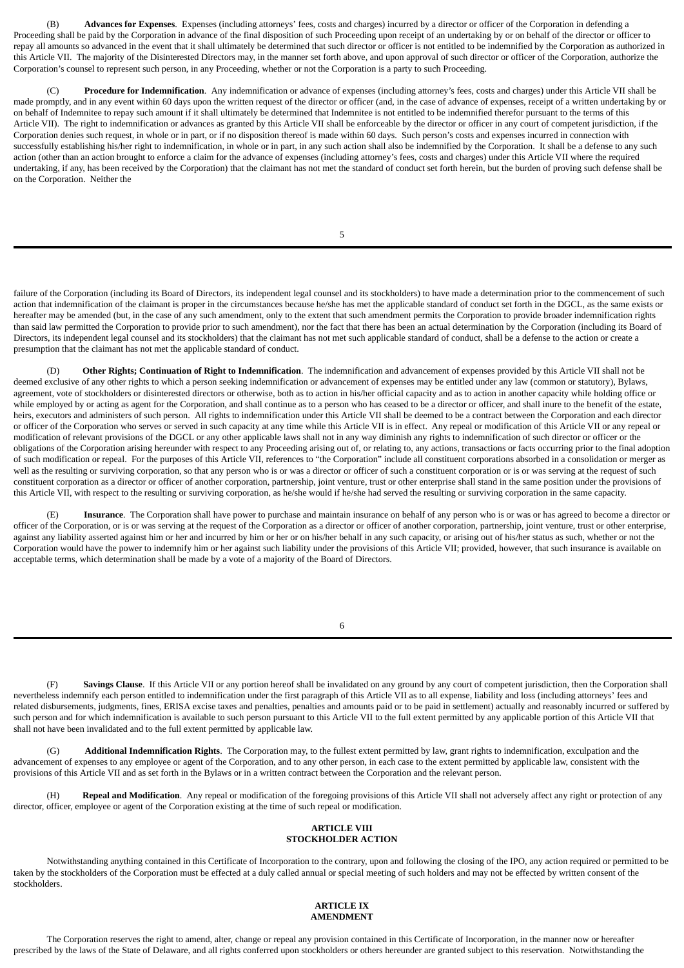(B) **Advances for Expenses**. Expenses (including attorneys' fees, costs and charges) incurred by a director or officer of the Corporation in defending a Proceeding shall be paid by the Corporation in advance of the final disposition of such Proceeding upon receipt of an undertaking by or on behalf of the director or officer to repay all amounts so advanced in the event that it shall ultimately be determined that such director or officer is not entitled to be indemnified by the Corporation as authorized in this Article VII. The majority of the Disinterested Directors may, in the manner set forth above, and upon approval of such director or officer of the Corporation, authorize the Corporation's counsel to represent such person, in any Proceeding, whether or not the Corporation is a party to such Proceeding.

(C) **Procedure for Indemnification**. Any indemnification or advance of expenses (including attorney's fees, costs and charges) under this Article VII shall be made promptly, and in any event within 60 days upon the written request of the director or officer (and, in the case of advance of expenses, receipt of a written undertaking by or on behalf of Indemnitee to repay such amount if it shall ultimately be determined that Indemnitee is not entitled to be indemnified therefor pursuant to the terms of this Article VII). The right to indemnification or advances as granted by this Article VII shall be enforceable by the director or officer in any court of competent iurisdiction, if the Corporation denies such request, in whole or in part, or if no disposition thereof is made within 60 days. Such person's costs and expenses incurred in connection with successfully establishing his/her right to indemnification, in whole or in part, in any such action shall also be indemnified by the Corporation. It shall be a defense to any such action (other than an action brought to enforce a claim for the advance of expenses (including attorney's fees, costs and charges) under this Article VII where the required undertaking, if any, has been received by the Corporation) that the claimant has not met the standard of conduct set forth herein, but the burden of proving such defense shall be on the Corporation. Neither the

5

failure of the Corporation (including its Board of Directors, its independent legal counsel and its stockholders) to have made a determination prior to the commencement of such action that indemnification of the claimant is proper in the circumstances because he/she has met the applicable standard of conduct set forth in the DGCL, as the same exists or hereafter may be amended (but, in the case of any such amendment, only to the extent that such amendment permits the Corporation to provide broader indemnification rights than said law permitted the Corporation to provide prior to such amendment), nor the fact that there has been an actual determination by the Corporation (including its Board of Directors, its independent legal counsel and its stockholders) that the claimant has not met such applicable standard of conduct, shall be a defense to the action or create a presumption that the claimant has not met the applicable standard of conduct.

(D) **Other Rights; Continuation of Right to Indemnification**. The indemnification and advancement of expenses provided by this Article VII shall not be deemed exclusive of any other rights to which a person seeking indemnification or advancement of expenses may be entitled under any law (common or statutory), Bylaws, agreement, vote of stockholders or disinterested directors or otherwise, both as to action in his/her official capacity and as to action in another capacity while holding office or while employed by or acting as agent for the Corporation, and shall continue as to a person who has ceased to be a director or officer, and shall inure to the benefit of the estate, heirs, executors and administers of such person. All rights to indemnification under this Article VII shall be deemed to be a contract between the Corporation and each director or officer of the Corporation who serves or served in such capacity at any time while this Article VII is in effect. Any repeal or modification of this Article VII or any repeal or modification of relevant provisions of the DGCL or any other applicable laws shall not in any way diminish any rights to indemnification of such director or officer or the obligations of the Corporation arising hereunder with respect to any Proceeding arising out of, or relating to, any actions, transactions or facts occurring prior to the final adoption of such modification or repeal. For the purposes of this Article VII, references to "the Corporation" include all constituent corporations absorbed in a consolidation or merger as well as the resulting or surviving corporation, so that any person who is or was a director or officer of such a constituent corporation or is or was serving at the request of such constituent corporation as a director or officer of another corporation, partnership, joint venture, trust or other enterprise shall stand in the same position under the provisions of this Article VII, with respect to the resulting or surviving corporation, as he/she would if he/she had served the resulting or surviving corporation in the same capacity.

(E) **Insurance**. The Corporation shall have power to purchase and maintain insurance on behalf of any person who is or was or has agreed to become a director or officer of the Corporation, or is or was serving at the request of the Corporation as a director or officer of another corporation, partnership, joint venture, trust or other enterprise, against any liability asserted against him or her and incurred by him or her or on his/her behalf in any such capacity, or arising out of his/her status as such, whether or not the Corporation would have the power to indemnify him or her against such liability under the provisions of this Article VII; provided, however, that such insurance is available on acceptable terms, which determination shall be made by a vote of a majority of the Board of Directors.

6

(F) **Savings Clause**. If this Article VII or any portion hereof shall be invalidated on any ground by any court of competent jurisdiction, then the Corporation shall nevertheless indemnify each person entitled to indemnification under the first paragraph of this Article VII as to all expense, liability and loss (including attorneys' fees and related disbursements, judgments, fines, ERISA excise taxes and penalties, penalties and amounts paid or to be paid in settlement) actually and reasonably incurred or suffered by such person and for which indemnification is available to such person pursuant to this Article VII to the full extent permitted by any applicable portion of this Article VII that shall not have been invalidated and to the full extent permitted by applicable law.

(G) **Additional Indemnification Rights**. The Corporation may, to the fullest extent permitted by law, grant rights to indemnification, exculpation and the advancement of expenses to any employee or agent of the Corporation, and to any other person, in each case to the extent permitted by applicable law, consistent with the provisions of this Article VII and as set forth in the Bylaws or in a written contract between the Corporation and the relevant person.

(H) **Repeal and Modification**. Any repeal or modification of the foregoing provisions of this Article VII shall not adversely affect any right or protection of any director, officer, employee or agent of the Corporation existing at the time of such repeal or modification.

## **ARTICLE VIII STOCKHOLDER ACTION**

Notwithstanding anything contained in this Certificate of Incorporation to the contrary, upon and following the closing of the IPO, any action required or permitted to be taken by the stockholders of the Corporation must be effected at a duly called annual or special meeting of such holders and may not be effected by written consent of the stockholders.

#### **ARTICLE IX AMENDMENT**

The Corporation reserves the right to amend, alter, change or repeal any provision contained in this Certificate of Incorporation, in the manner now or hereafter prescribed by the laws of the State of Delaware, and all rights conferred upon stockholders or others hereunder are granted subject to this reservation. Notwithstanding the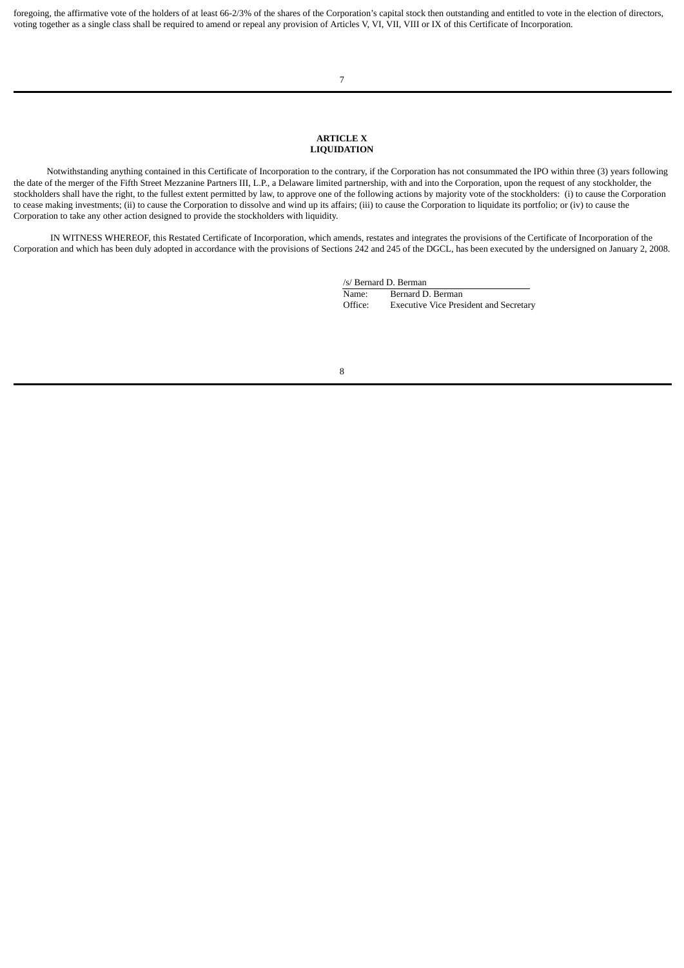foregoing, the affirmative vote of the holders of at least 66-2/3% of the shares of the Corporation's capital stock then outstanding and entitled to vote in the election of directors, voting together as a single class shall be required to amend or repeal any provision of Articles V, VI, VII, VIII or IX of this Certificate of Incorporation.

7

#### **ARTICLE X LIQUIDATION**

Notwithstanding anything contained in this Certificate of Incorporation to the contrary, if the Corporation has not consummated the IPO within three (3) years following the date of the merger of the Fifth Street Mezzanine Partners III, L.P., a Delaware limited partnership, with and into the Corporation, upon the request of any stockholder, the stockholders shall have the right, to the fullest extent permitted by law, to approve one of the following actions by majority vote of the stockholders: (i) to cause the Corporation to cease making investments; (ii) to cause the Corporation to dissolve and wind up its affairs; (iii) to cause the Corporation to liquidate its portfolio; or (iv) to cause the Corporation to take any other action designed to provide the stockholders with liquidity.

IN WITNESS WHEREOF, this Restated Certificate of Incorporation, which amends, restates and integrates the provisions of the Certificate of Incorporation of the Corporation and which has been duly adopted in accordance with the provisions of Sections 242 and 245 of the DGCL, has been executed by the undersigned on January 2, 2008.

> /s/ Bernard D. Berman Name: Bernard D. Berman Office: Executive Vice President and Secretary

8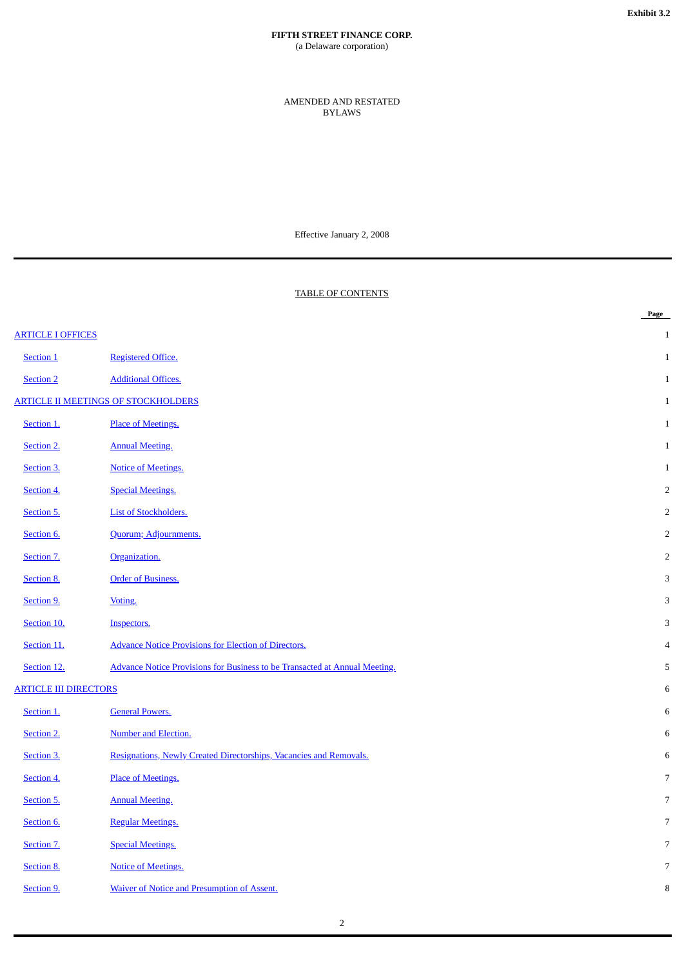## **FIFTH STREET FINANCE CORP.** (a Delaware corporation)

AMENDED AND RESTATED BYLAWS

Effective January 2, 2008

## TABLE OF CONTENTS

|                                                                                   | Page           |
|-----------------------------------------------------------------------------------|----------------|
|                                                                                   | $\mathbf{1}$   |
| <b>Registered Office.</b>                                                         | $\mathbf{1}$   |
| <b>Additional Offices.</b>                                                        | $\mathbf{1}$   |
| <b>ARTICLE II MEETINGS OF STOCKHOLDERS</b>                                        | $\mathbf{1}$   |
| Place of Meetings.                                                                | $\mathbf{1}$   |
| <b>Annual Meeting.</b>                                                            | 1              |
| <b>Notice of Meetings.</b>                                                        | $\mathbf{1}$   |
| <b>Special Meetings.</b>                                                          | $\overline{2}$ |
| <b>List of Stockholders.</b>                                                      | $\overline{2}$ |
| Quorum; Adjournments.                                                             | $\overline{2}$ |
| Organization.                                                                     | $\overline{2}$ |
| <b>Order of Business.</b>                                                         | 3              |
| Voting.                                                                           | 3              |
| Inspectors.                                                                       | 3              |
| <b>Advance Notice Provisions for Election of Directors.</b>                       | $\overline{4}$ |
| <b>Advance Notice Provisions for Business to be Transacted at Annual Meeting.</b> | 5              |
| <b>ARTICLE III DIRECTORS</b>                                                      | 6              |
| <b>General Powers.</b>                                                            | $\,6\,$        |
| Number and Election.                                                              | $\,6\,$        |
| Resignations, Newly Created Directorships, Vacancies and Removals.                | $\,6\,$        |
| Place of Meetings.                                                                | 7              |
| <b>Annual Meeting.</b>                                                            | $\overline{7}$ |
| <b>Regular Meetings.</b>                                                          | $\overline{7}$ |
| <b>Special Meetings.</b>                                                          | 7              |
| <b>Notice of Meetings.</b>                                                        | 7              |
| <b>Waiver of Notice and Presumption of Assent.</b>                                | 8              |
|                                                                                   |                |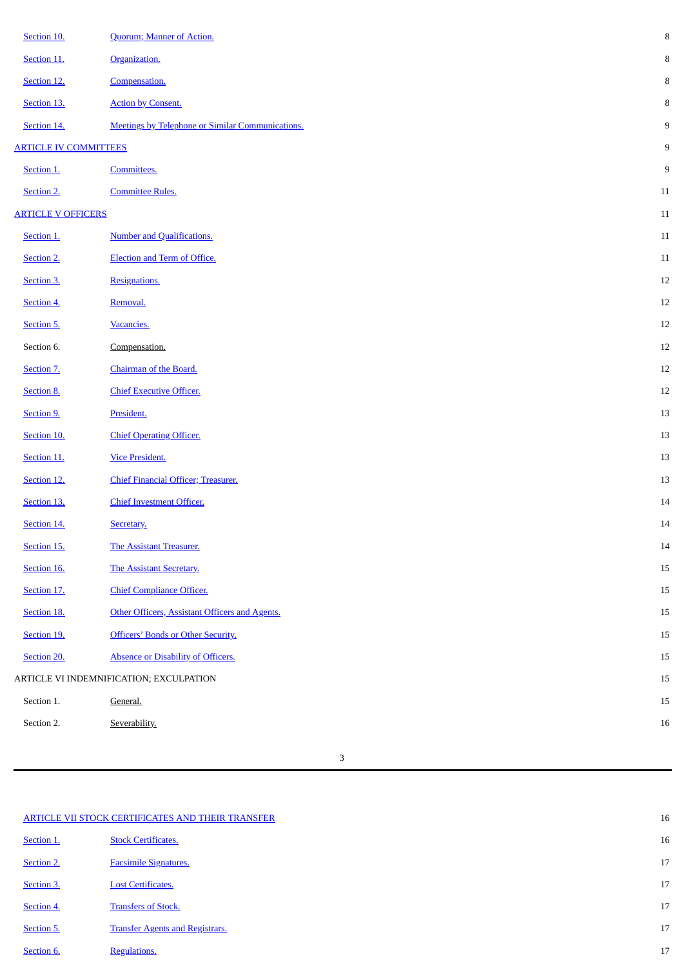| Section 10.                             | Quorum; Manner of Action.                               | $\, 8$ |
|-----------------------------------------|---------------------------------------------------------|--------|
| Section 11.                             | Organization.                                           | 8      |
| Section 12.                             | Compensation.                                           | 8      |
| Section 13.                             | <b>Action by Consent.</b>                               | 8      |
| Section 14.                             | <b>Meetings by Telephone or Similar Communications.</b> | 9      |
| <b>ARTICLE IV COMMITTEES</b>            |                                                         | 9      |
| Section 1.                              | Committees.                                             | 9      |
| Section 2.                              | <b>Committee Rules.</b>                                 | $11\,$ |
| <b>ARTICLE V OFFICERS</b>               |                                                         | $11\,$ |
| Section 1.                              | <b>Number and Qualifications.</b>                       | 11     |
| Section 2.                              | <b>Election and Term of Office.</b>                     | $11\,$ |
| Section 3.                              | Resignations.                                           | $12\,$ |
| Section 4.                              | Removal.                                                | $12\,$ |
| Section 5.                              | Vacancies.                                              | 12     |
| Section 6.                              | Compensation.                                           | $12\,$ |
| Section 7.                              | Chairman of the Board.                                  | 12     |
| Section 8.                              | <b>Chief Executive Officer.</b>                         | 12     |
| Section 9.                              | President.                                              | 13     |
| Section 10.                             | <b>Chief Operating Officer.</b>                         | 13     |
| Section 11.                             | <b>Vice President.</b>                                  | 13     |
| Section 12.                             | Chief Financial Officer; Treasurer.                     | 13     |
| Section 13.                             | <b>Chief Investment Officer.</b>                        | 14     |
| Section 14.                             | Secretary.                                              | $14$   |
| Section 15.                             | The Assistant Treasurer.                                | 14     |
| Section 16.                             | The Assistant Secretary.                                | 15     |
| Section 17.                             | <b>Chief Compliance Officer.</b>                        | 15     |
| Section 18.                             | Other Officers, Assistant Officers and Agents.          | 15     |
| Section 19.                             | Officers' Bonds or Other Security.                      | 15     |
| Section 20.                             | Absence or Disability of Officers.                      | 15     |
| ARTICLE VI INDEMNIFICATION; EXCULPATION |                                                         | 15     |
| Section 1.                              | General.                                                | 15     |
| Section 2.                              | Severability.                                           | 16     |

3

| ARTICLE VII STOCK CERTIFICATES AND THEIR TRANSFER |                                        | 16 |
|---------------------------------------------------|----------------------------------------|----|
| Section 1.                                        | <b>Stock Certificates.</b>             | 16 |
| Section 2.                                        | <b>Facsimile Signatures.</b>           | 17 |
| Section 3.                                        | <b>Lost Certificates.</b>              | 17 |
| Section 4.                                        | <b>Transfers of Stock.</b>             | 17 |
| Section 5.                                        | <b>Transfer Agents and Registrars.</b> | 17 |
| Section 6.                                        | Regulations.                           | 17 |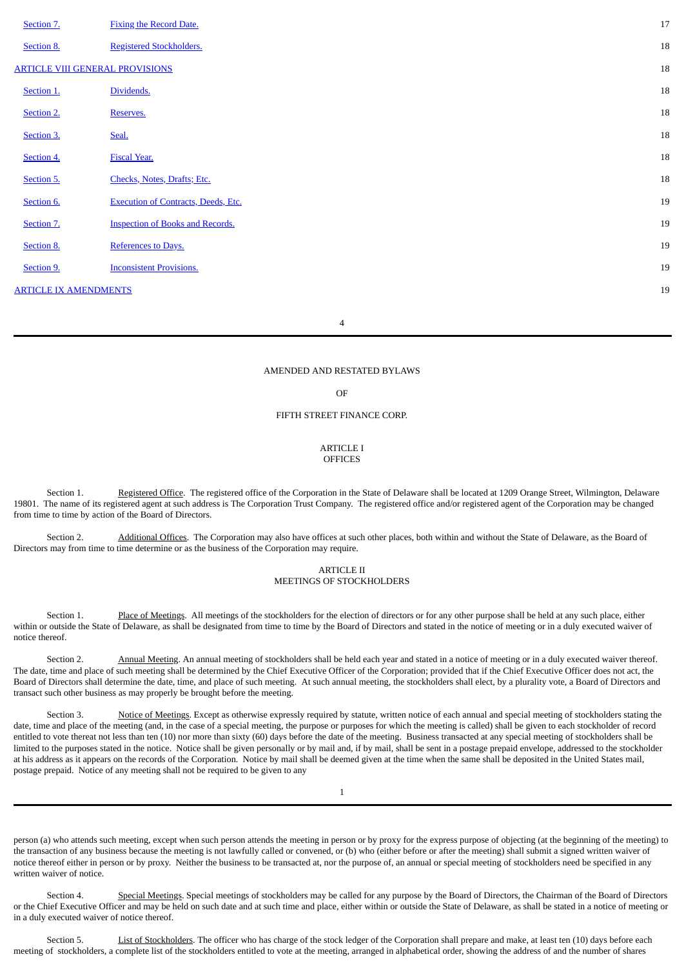| Section 7.                             | <b>Fixing the Record Date.</b>             | 17 |
|----------------------------------------|--------------------------------------------|----|
| Section 8.                             | <b>Registered Stockholders.</b>            | 18 |
| <b>ARTICLE VIII GENERAL PROVISIONS</b> |                                            | 18 |
| Section 1.                             | Dividends.                                 | 18 |
| Section 2.                             | Reserves.                                  | 18 |
| Section 3.                             | Seal.                                      | 18 |
| Section 4.                             | <b>Fiscal Year.</b>                        | 18 |
| Section 5.                             | Checks, Notes, Drafts; Etc.                | 18 |
| Section 6.                             | <b>Execution of Contracts, Deeds, Etc.</b> | 19 |
| Section 7.                             | <b>Inspection of Books and Records.</b>    | 19 |
| Section 8.                             | References to Days.                        | 19 |
| Section 9.                             | <b>Inconsistent Provisions.</b>            | 19 |
| <b>ARTICLE IX AMENDMENTS</b>           |                                            | 19 |
|                                        |                                            |    |

4

## AMENDED AND RESTATED BYLAWS

OF

## <span id="page-8-1"></span>FIFTH STREET FINANCE CORP.

#### <span id="page-8-0"></span>ARTICLE I **OFFICES**

Section 1. Registered Office. The registered office of the Corporation in the State of Delaware shall be located at 1209 Orange Street, Wilmington, Delaware 19801. The name of its registered agent at such address is The Corporation Trust Company. The registered office and/or registered agent of the Corporation may be changed from time to time by action of the Board of Directors.

Section 2. Additional Offices. The Corporation may also have offices at such other places, both within and without the State of Delaware, as the Board of Directors may from time to time determine or as the business of the Corporation may require.

#### <span id="page-8-6"></span><span id="page-8-5"></span><span id="page-8-4"></span><span id="page-8-3"></span><span id="page-8-2"></span>ARTICLE II MEETINGS OF STOCKHOLDERS

Section 1. Place of Meetings. All meetings of the stockholders for the election of directors or for any other purpose shall be held at any such place, either within or outside the State of Delaware, as shall be designated from time to time by the Board of Directors and stated in the notice of meeting or in a duly executed waiver of notice thereof.

Section 2. **Annual Meeting**. An annual meeting of stockholders shall be held each year and stated in a notice of meeting or in a duly executed waiver thereof. The date, time and place of such meeting shall be determined by the Chief Executive Officer of the Corporation; provided that if the Chief Executive Officer does not act, the Board of Directors shall determine the date, time, and place of such meeting. At such annual meeting, the stockholders shall elect, by a plurality vote, a Board of Directors and transact such other business as may properly be brought before the meeting.

Section 3. Notice of Meetings. Except as otherwise expressly required by statute, written notice of each annual and special meeting of stockholders stating the date, time and place of the meeting (and, in the case of a special meeting, the purpose or purposes for which the meeting is called) shall be given to each stockholder of record entitled to vote thereat not less than ten (10) nor more than sixty (60) days before the date of the meeting. Business transacted at any special meeting of stockholders shall be limited to the purposes stated in the notice. Notice shall be given personally or by mail and, if by mail, shall be sent in a postage prepaid envelope, addressed to the stockholder at his address as it appears on the records of the Corporation. Notice by mail shall be deemed given at the time when the same shall be deposited in the United States mail, postage prepaid. Notice of any meeting shall not be required to be given to any

1

person (a) who attends such meeting, except when such person attends the meeting in person or by proxy for the express purpose of objecting (at the beginning of the meeting) to the transaction of any business because the meeting is not lawfully called or convened, or (b) who (either before or after the meeting) shall submit a signed written waiver of notice thereof either in person or by proxy. Neither the business to be transacted at, nor the purpose of, an annual or special meeting of stockholders need be specified in any written waiver of notice.

<span id="page-8-7"></span>Section 4. Special Meetings. Special meetings of stockholders may be called for any purpose by the Board of Directors, the Chairman of the Board of Directors or the Chief Executive Officer and may be held on such date and at such time and place, either within or outside the State of Delaware, as shall be stated in a notice of meeting or in a duly executed waiver of notice thereof.

<span id="page-8-8"></span>Section 5. List of Stockholders. The officer who has charge of the stock ledger of the Corporation shall prepare and make, at least ten (10) days before each meeting of stockholders, a complete list of the stockholders entitled to vote at the meeting, arranged in alphabetical order, showing the address of and the number of shares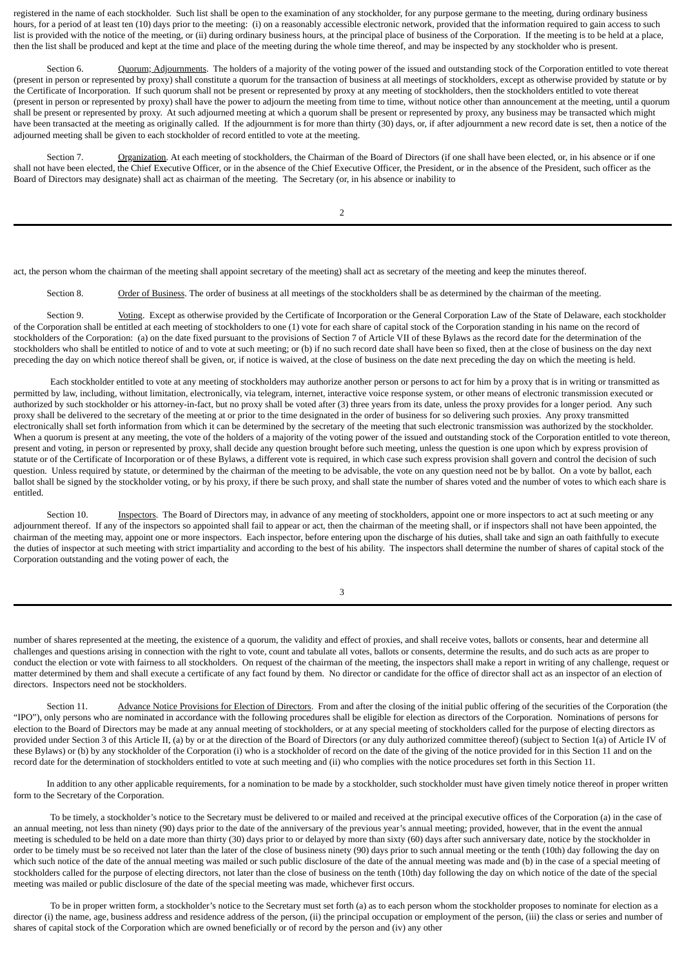registered in the name of each stockholder. Such list shall be open to the examination of any stockholder, for any purpose germane to the meeting, during ordinary business hours, for a period of at least ten (10) days prior to the meeting: (i) on a reasonably accessible electronic network, provided that the information required to gain access to such list is provided with the notice of the meeting, or (ii) during ordinary business hours, at the principal place of business of the Corporation. If the meeting is to be held at a place, then the list shall be produced and kept at the time and place of the meeting during the whole time thereof, and may be inspected by any stockholder who is present.

<span id="page-9-0"></span>Section 6. Quorum; Adjournments. The holders of a majority of the voting power of the issued and outstanding stock of the Corporation entitled to vote thereat (present in person or represented by proxy) shall constitute a quorum for the transaction of business at all meetings of stockholders, except as otherwise provided by statute or by the Certificate of Incorporation. If such quorum shall not be present or represented by proxy at any meeting of stockholders, then the stockholders entitled to vote thereat (present in person or represented by proxy) shall have the power to adjourn the meeting from time to time, without notice other than announcement at the meeting, until a quorum shall be present or represented by proxy. At such adjourned meeting at which a quorum shall be present or represented by proxy, any business may be transacted which might have been transacted at the meeting as originally called. If the adjournment is for more than thirty (30) days, or, if after adjournment a new record date is set, then a notice of the adjourned meeting shall be given to each stockholder of record entitled to vote at the meeting.

<span id="page-9-1"></span>Section 7. Organization. At each meeting of stockholders, the Chairman of the Board of Directors (if one shall have been elected, or, in his absence or if one shall not have been elected, the Chief Executive Officer, or in the absence of the Chief Executive Officer, the President, or in the absence of the President, such officer as the Board of Directors may designate) shall act as chairman of the meeting. The Secretary (or, in his absence or inability to

2

act, the person whom the chairman of the meeting shall appoint secretary of the meeting) shall act as secretary of the meeting and keep the minutes thereof.

<span id="page-9-3"></span><span id="page-9-2"></span>Section 8. Order of Business. The order of business at all meetings of the stockholders shall be as determined by the chairman of the meeting.

Section 9. Voting. Except as otherwise provided by the Certificate of Incorporation or the General Corporation Law of the State of Delaware, each stockholder of the Corporation shall be entitled at each meeting of stockholders to one (1) vote for each share of capital stock of the Corporation standing in his name on the record of stockholders of the Corporation: (a) on the date fixed pursuant to the provisions of Section 7 of Article VII of these Bylaws as the record date for the determination of the stockholders who shall be entitled to notice of and to vote at such meeting; or (b) if no such record date shall have been so fixed, then at the close of business on the day next preceding the day on which notice thereof shall be given, or, if notice is waived, at the close of business on the date next preceding the day on which the meeting is held.

Each stockholder entitled to vote at any meeting of stockholders may authorize another person or persons to act for him by a proxy that is in writing or transmitted as permitted by law, including, without limitation, electronically, via telegram, internet, interactive voice response system, or other means of electronic transmission executed or authorized by such stockholder or his attorney-in-fact, but no proxy shall be voted after (3) three years from its date, unless the proxy provides for a longer period. Any such proxy shall be delivered to the secretary of the meeting at or prior to the time designated in the order of business for so delivering such proxies. Any proxy transmitted electronically shall set forth information from which it can be determined by the secretary of the meeting that such electronic transmission was authorized by the stockholder. When a quorum is present at any meeting, the vote of the holders of a majority of the voting power of the issued and outstanding stock of the Corporation entitled to vote thereon, present and voting, in person or represented by proxy, shall decide any question brought before such meeting, unless the question is one upon which by express provision of statute or of the Certificate of Incorporation or of these Bylaws, a different vote is required, in which case such express provision shall govern and control the decision of such question. Unless required by statute, or determined by the chairman of the meeting to be advisable, the vote on any question need not be by ballot. On a vote by ballot, each ballot shall be signed by the stockholder voting, or by his proxy, if there be such proxy, and shall state the number of shares voted and the number of votes to which each share is entitled.

<span id="page-9-4"></span>Section 10. **Inspectors**. The Board of Directors may, in advance of any meeting of stockholders, appoint one or more inspectors to act at such meeting or any adjournment thereof. If any of the inspectors so appointed shall fail to appear or act, then the chairman of the meeting shall, or if inspectors shall not have been appointed, the chairman of the meeting may, appoint one or more inspectors. Each inspector, before entering upon the discharge of his duties, shall take and sign an oath faithfully to execute the duties of inspector at such meeting with strict impartiality and according to the best of his ability. The inspectors shall determine the number of shares of capital stock of the Corporation outstanding and the voting power of each, the

<span id="page-9-5"></span>3

number of shares represented at the meeting, the existence of a quorum, the validity and effect of proxies, and shall receive votes, ballots or consents, hear and determine all challenges and questions arising in connection with the right to vote, count and tabulate all votes, ballots or consents, determine the results, and do such acts as are proper to conduct the election or vote with fairness to all stockholders. On request of the chairman of the meeting, the inspectors shall make a report in writing of any challenge, request or matter determined by them and shall execute a certificate of any fact found by them. No director or candidate for the office of director shall act as an inspector of an election of directors. Inspectors need not be stockholders.

Section 11. Advance Notice Provisions for Election of Directors. From and after the closing of the initial public offering of the securities of the Corporation (the "IPO"), only persons who are nominated in accordance with the following procedures shall be eligible for election as directors of the Corporation. Nominations of persons for election to the Board of Directors may be made at any annual meeting of stockholders, or at any special meeting of stockholders called for the purpose of electing directors as provided under Section 3 of this Article II, (a) by or at the direction of the Board of Directors (or any duly authorized committee thereof) (subject to Section 1(a) of Article IV of these Bylaws) or (b) by any stockholder of the Corporation (i) who is a stockholder of record on the date of the giving of the notice provided for in this Section 11 and on the record date for the determination of stockholders entitled to vote at such meeting and (ii) who complies with the notice procedures set forth in this Section 11.

In addition to any other applicable requirements, for a nomination to be made by a stockholder, such stockholder must have given timely notice thereof in proper written form to the Secretary of the Corporation.

To be timely, a stockholder's notice to the Secretary must be delivered to or mailed and received at the principal executive offices of the Corporation (a) in the case of an annual meeting, not less than ninety (90) days prior to the date of the anniversary of the previous year's annual meeting; provided, however, that in the event the annual meeting is scheduled to be held on a date more than thirty (30) days prior to or delayed by more than sixty (60) days after such anniversary date, notice by the stockholder in order to be timely must be so received not later than the later of the close of business ninety (90) days prior to such annual meeting or the tenth (10th) day following the day on which such notice of the date of the annual meeting was mailed or such public disclosure of the date of the annual meeting was made and (b) in the case of a special meeting of stockholders called for the purpose of electing directors, not later than the close of business on the tenth (10th) day following the day on which notice of the date of the special meeting was mailed or public disclosure of the date of the special meeting was made, whichever first occurs.

To be in proper written form, a stockholder's notice to the Secretary must set forth (a) as to each person whom the stockholder proposes to nominate for election as a director (i) the name, age, business address and residence address of the person, (ii) the principal occupation or employment of the person, (iii) the class or series and number of shares of capital stock of the Corporation which are owned beneficially or of record by the person and (iv) any other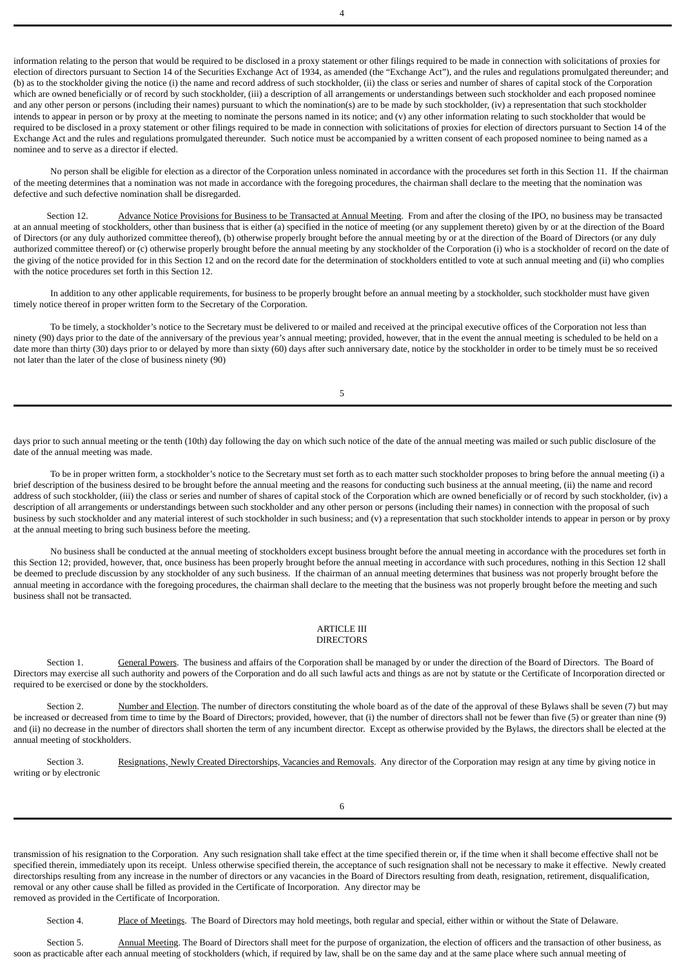information relating to the person that would be required to be disclosed in a proxy statement or other filings required to be made in connection with solicitations of proxies for election of directors pursuant to Section 14 of the Securities Exchange Act of 1934, as amended (the "Exchange Act"), and the rules and regulations promulgated thereunder; and (b) as to the stockholder giving the notice (i) the name and record address of such stockholder, (ii) the class or series and number of shares of capital stock of the Corporation which are owned beneficially or of record by such stockholder, (iii) a description of all arrangements or understandings between such stockholder and each proposed nominee and any other person or persons (including their names) pursuant to which the nomination(s) are to be made by such stockholder, (iv) a representation that such stockholder intends to appear in person or by proxy at the meeting to nominate the persons named in its notice; and (v) any other information relating to such stockholder that would be required to be disclosed in a proxy statement or other filings required to be made in connection with solicitations of proxies for election of directors pursuant to Section 14 of the Exchange Act and the rules and regulations promulgated thereunder. Such notice must be accompanied by a written consent of each proposed nominee to being named as a nominee and to serve as a director if elected.

No person shall be eligible for election as a director of the Corporation unless nominated in accordance with the procedures set forth in this Section 11. If the chairman of the meeting determines that a nomination was not made in accordance with the foregoing procedures, the chairman shall declare to the meeting that the nomination was defective and such defective nomination shall be disregarded.

<span id="page-10-0"></span>Section 12. Advance Notice Provisions for Business to be Transacted at Annual Meeting. From and after the closing of the IPO, no business may be transacted at an annual meeting of stockholders, other than business that is either (a) specified in the notice of meeting (or any supplement thereto) given by or at the direction of the Board of Directors (or any duly authorized committee thereof), (b) otherwise properly brought before the annual meeting by or at the direction of the Board of Directors (or any duly authorized committee thereof) or (c) otherwise properly brought before the annual meeting by any stockholder of the Corporation (i) who is a stockholder of record on the date of the giving of the notice provided for in this Section 12 and on the record date for the determination of stockholders entitled to vote at such annual meeting and (ii) who complies with the notice procedures set forth in this Section 12.

In addition to any other applicable requirements, for business to be properly brought before an annual meeting by a stockholder, such stockholder must have given timely notice thereof in proper written form to the Secretary of the Corporation.

To be timely, a stockholder's notice to the Secretary must be delivered to or mailed and received at the principal executive offices of the Corporation not less than ninety (90) days prior to the date of the anniversary of the previous year's annual meeting; provided, however, that in the event the annual meeting is scheduled to be held on a date more than thirty (30) days prior to or delayed by more than sixty (60) days after such anniversary date, notice by the stockholder in order to be timely must be so received not later than the later of the close of business ninety (90)

days prior to such annual meeting or the tenth (10th) day following the day on which such notice of the date of the annual meeting was mailed or such public disclosure of the date of the annual meeting was made.

To be in proper written form, a stockholder's notice to the Secretary must set forth as to each matter such stockholder proposes to bring before the annual meeting (i) a brief description of the business desired to be brought before the annual meeting and the reasons for conducting such business at the annual meeting, (ii) the name and record address of such stockholder, (iii) the class or series and number of shares of capital stock of the Corporation which are owned beneficially or of record by such stockholder, (iv) a description of all arrangements or understandings between such stockholder and any other person or persons (including their names) in connection with the proposal of such business by such stockholder and any material interest of such stockholder in such business; and (v) a representation that such stockholder intends to appear in person or by proxy at the annual meeting to bring such business before the meeting.

No business shall be conducted at the annual meeting of stockholders except business brought before the annual meeting in accordance with the procedures set forth in this Section 12; provided, however, that, once business has been properly brought before the annual meeting in accordance with such procedures, nothing in this Section 12 shall be deemed to preclude discussion by any stockholder of any such business. If the chairman of an annual meeting determines that business was not properly brought before the annual meeting in accordance with the foregoing procedures, the chairman shall declare to the meeting that the business was not properly brought before the meeting and such business shall not be transacted.

#### <span id="page-10-4"></span><span id="page-10-3"></span><span id="page-10-2"></span><span id="page-10-1"></span>ARTICLE III **DIRECTORS**

Section 1. General Powers. The business and affairs of the Corporation shall be managed by or under the direction of the Board of Directors. The Board of Directors may exercise all such authority and powers of the Corporation and do all such lawful acts and things as are not by statute or the Certificate of Incorporation directed or required to be exercised or done by the stockholders.

Section 2. Number and Election. The number of directors constituting the whole board as of the date of the approval of these Bylaws shall be seven (7) but may be increased or decreased from time to time by the Board of Directors; provided, however, that (i) the number of directors shall not be fewer than five (5) or greater than nine (9) and (ii) no decrease in the number of directors shall shorten the term of any incumbent director. Except as otherwise provided by the Bylaws, the directors shall be elected at the annual meeting of stockholders.

Section 3. Resignations, Newly Created Directorships, Vacancies and Removals. Any director of the Corporation may resign at any time by giving notice in writing or by electronic

transmission of his resignation to the Corporation. Any such resignation shall take effect at the time specified therein or, if the time when it shall become effective shall not be specified therein, immediately upon its receipt. Unless otherwise specified therein, the acceptance of such resignation shall not be necessary to make it effective. Newly created directorships resulting from any increase in the number of directors or any vacancies in the Board of Directors resulting from death, resignation, retirement, disqualification, removal or any other cause shall be filled as provided in the Certificate of Incorporation. Any director may be removed as provided in the Certificate of Incorporation.

<span id="page-10-6"></span><span id="page-10-5"></span>Section 4. Place of Meetings. The Board of Directors may hold meetings, both regular and special, either within or without the State of Delaware.

Section 5. Annual Meeting. The Board of Directors shall meet for the purpose of organization, the election of officers and the transaction of other business, as soon as practicable after each annual meeting of stockholders (which, if required by law, shall be on the same day and at the same place where such annual meeting of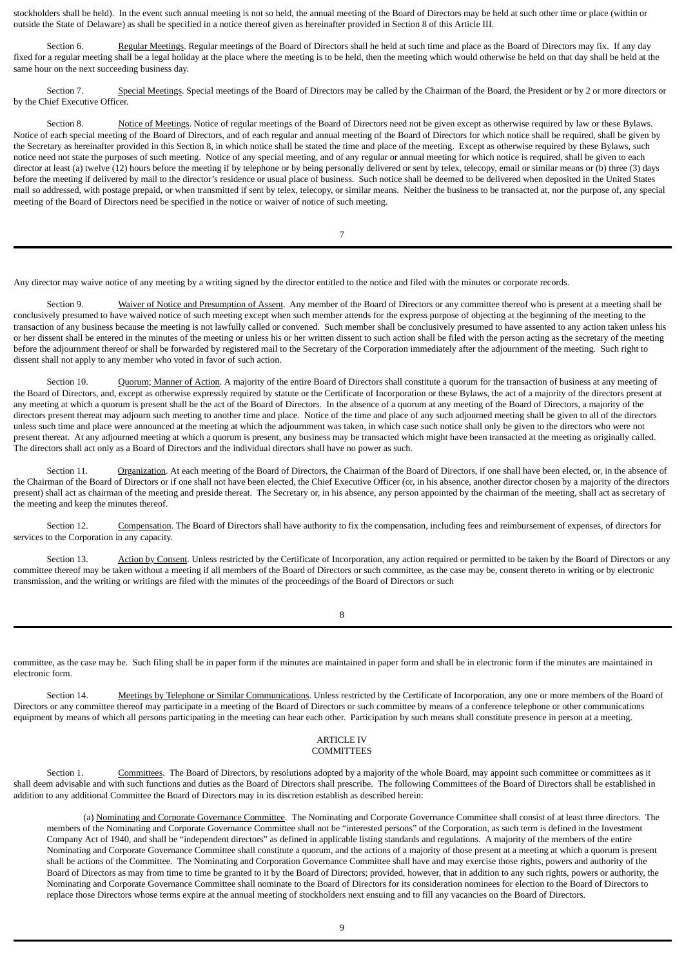stockholders shall be held). In the event such annual meeting is not so held, the annual meeting of the Board of Directors may be held at such other time or place (within or outside the State of Delaware) as shall be specified in a notice thereof given as hereinafter provided in Section 8 of this Article III.

<span id="page-11-0"></span>Section 6. Regular Meetings. Regular meetings of the Board of Directors shall he held at such time and place as the Board of Directors may fix. If any day fixed for a regular meeting shall be a legal holiday at the place where the meeting is to be held, then the meeting which would otherwise be held on that day shall be held at the same hour on the next succeeding business day.

<span id="page-11-1"></span>Section 7. Special Meetings. Special meetings of the Board of Directors may be called by the Chairman of the Board, the President or by 2 or more directors or by the Chief Executive Officer.

<span id="page-11-2"></span>Section 8. Notice of Meetings. Notice of regular meetings of the Board of Directors need not be given except as otherwise required by law or these Bylaws. Notice of each special meeting of the Board of Directors, and of each regular and annual meeting of the Board of Directors for which notice shall be required, shall be given by the Secretary as hereinafter provided in this Section 8, in which notice shall be stated the time and place of the meeting. Except as otherwise required by these Bylaws, such notice need not state the purposes of such meeting. Notice of any special meeting, and of any regular or annual meeting for which notice is required, shall be given to each director at least (a) twelve (12) hours before the meeting if by telephone or by being personally delivered or sent by telex, telecopy, email or similar means or (b) three (3) days before the meeting if delivered by mail to the director's residence or usual place of business. Such notice shall be deemed to be delivered when deposited in the United States mail so addressed, with postage prepaid, or when transmitted if sent by telex, telecopy, or similar means. Neither the business to be transacted at, nor the purpose of, any special meeting of the Board of Directors need be specified in the notice or waiver of notice of such meeting.

<span id="page-11-4"></span><span id="page-11-3"></span>7

Any director may waive notice of any meeting by a writing signed by the director entitled to the notice and filed with the minutes or corporate records.

Section 9. Waiver of Notice and Presumption of Assent. Any member of the Board of Directors or any committee thereof who is present at a meeting shall be conclusively presumed to have waived notice of such meeting except when such member attends for the express purpose of objecting at the beginning of the meeting to the transaction of any business because the meeting is not lawfully called or convened. Such member shall be conclusively presumed to have assented to any action taken unless his or her dissent shall be entered in the minutes of the meeting or unless his or her written dissent to such action shall be filed with the person acting as the secretary of the meeting before the adjournment thereof or shall be forwarded by registered mail to the Secretary of the Corporation immediately after the adjournment of the meeting. Such right to dissent shall not apply to any member who voted in favor of such action.

Section 10. Quorum; Manner of Action. A majority of the entire Board of Directors shall constitute a quorum for the transaction of business at any meeting of the Board of Directors, and, except as otherwise expressly required by statute or the Certificate of Incorporation or these Bylaws, the act of a majority of the directors present at any meeting at which a quorum is present shall be the act of the Board of Directors. In the absence of a quorum at any meeting of the Board of Directors, a majority of the directors present thereat may adjourn such meeting to another time and place. Notice of the time and place of any such adjourned meeting shall be given to all of the directors unless such time and place were announced at the meeting at which the adjournment was taken, in which case such notice shall only be given to the directors who were not present thereat. At any adjourned meeting at which a quorum is present, any business may be transacted which might have been transacted at the meeting as originally called. The directors shall act only as a Board of Directors and the individual directors shall have no power as such.

<span id="page-11-5"></span>Section 11. Organization. At each meeting of the Board of Directors, the Chairman of the Board of Directors, if one shall have been elected, or, in the absence of the Chairman of the Board of Directors or if one shall not have been elected, the Chief Executive Officer (or, in his absence, another director chosen by a majority of the directors present) shall act as chairman of the meeting and preside thereat. The Secretary or, in his absence, any person appointed by the chairman of the meeting, shall act as secretary of the meeting and keep the minutes thereof.

<span id="page-11-6"></span>Section 12. Compensation. The Board of Directors shall have authority to fix the compensation, including fees and reimbursement of expenses, of directors for services to the Corporation in any capacity.

Section 13. Action by Consent. Unless restricted by the Certificate of Incorporation, any action required or permitted to be taken by the Board of Directors or any committee thereof may be taken without a meeting if all members of the Board of Directors or such committee, as the case may be, consent thereto in writing or by electronic transmission, and the writing or writings are filed with the minutes of the proceedings of the Board of Directors or such

<span id="page-11-7"></span>8

committee, as the case may be. Such filing shall be in paper form if the minutes are maintained in paper form and shall be in electronic form if the minutes are maintained in electronic form.

Section 14. Meetings by Telephone or Similar Communications. Unless restricted by the Certificate of Incorporation, any one or more members of the Board of Directors or any committee thereof may participate in a meeting of the Board of Directors or such committee by means of a conference telephone or other communications equipment by means of which all persons participating in the meeting can hear each other. Participation by such means shall constitute presence in person at a meeting.

## <span id="page-11-9"></span><span id="page-11-8"></span>ARTICLE IV COMMITTEES

Section 1. Committees. The Board of Directors, by resolutions adopted by a majority of the whole Board, may appoint such committee or committees as it shall deem advisable and with such functions and duties as the Board of Directors shall prescribe. The following Committees of the Board of Directors shall be established in addition to any additional Committee the Board of Directors may in its discretion establish as described herein:

<span id="page-11-10"></span>(a) Nominating and Corporate Governance Committee. The Nominating and Corporate Governance Committee shall consist of at least three directors. The members of the Nominating and Corporate Governance Committee shall not be "interested persons" of the Corporation, as such term is defined in the Investment Company Act of 1940, and shall be "independent directors" as defined in applicable listing standards and regulations. A majority of the members of the entire Nominating and Corporate Governance Committee shall constitute a quorum, and the actions of a majority of those present at a meeting at which a quorum is present shall be actions of the Committee. The Nominating and Corporation Governance Committee shall have and may exercise those rights, powers and authority of the Board of Directors as may from time to time be granted to it by the Board of Directors; provided, however, that in addition to any such rights, powers or authority, the Nominating and Corporate Governance Committee shall nominate to the Board of Directors for its consideration nominees for election to the Board of Directors to replace those Directors whose terms expire at the annual meeting of stockholders next ensuing and to fill any vacancies on the Board of Directors.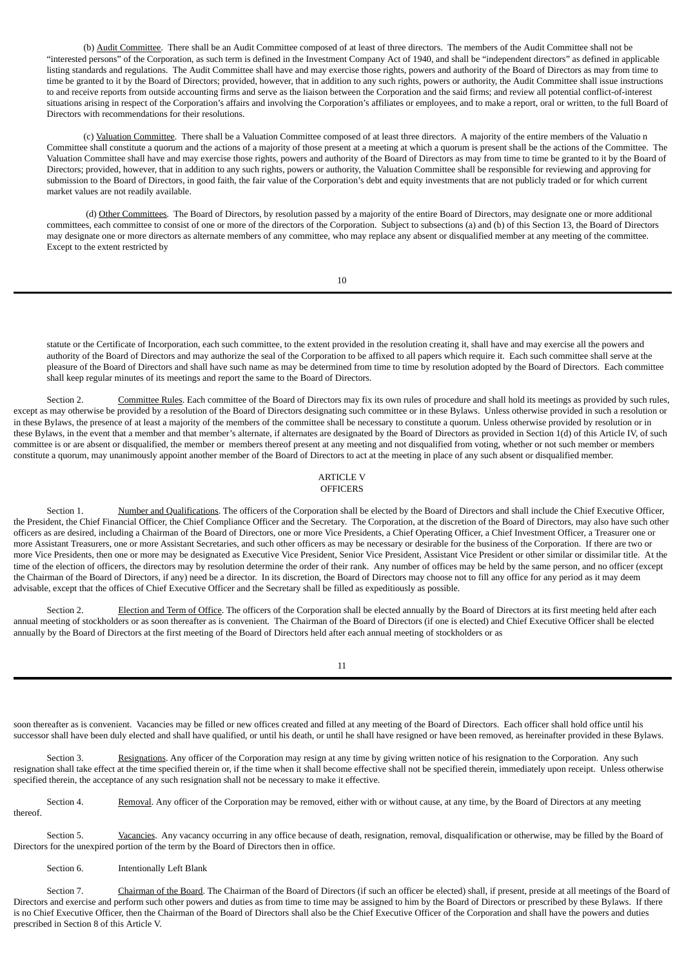(b) Audit Committee. There shall be an Audit Committee composed of at least of three directors. The members of the Audit Committee shall not be "interested persons" of the Corporation, as such term is defined in the Investment Company Act of 1940, and shall be "independent directors" as defined in applicable listing standards and regulations. The Audit Committee shall have and may exercise those rights, powers and authority of the Board of Directors as may from time to time be granted to it by the Board of Directors; provided, however, that in addition to any such rights, powers or authority, the Audit Committee shall issue instructions to and receive reports from outside accounting firms and serve as the liaison between the Corporation and the said firms; and review all potential conflict-of-interest situations arising in respect of the Corporation's affairs and involving the Corporation's affiliates or employees, and to make a report, oral or written, to the full Board of Directors with recommendations for their resolutions.

(c) Valuation Committee. There shall be a Valuation Committee composed of at least three directors. A majority of the entire members of the Valuatio n Committee shall constitute a quorum and the actions of a majority of those present at a meeting at which a quorum is present shall be the actions of the Committee. The Valuation Committee shall have and may exercise those rights, powers and authority of the Board of Directors as may from time to time be granted to it by the Board of Directors; provided, however, that in addition to any such rights, powers or authority, the Valuation Committee shall be responsible for reviewing and approving for submission to the Board of Directors, in good faith, the fair value of the Corporation's debt and equity investments that are not publicly traded or for which current market values are not readily available.

(d) Other Committees. The Board of Directors, by resolution passed by a majority of the entire Board of Directors, may designate one or more additional committees, each committee to consist of one or more of the directors of the Corporation. Subject to subsections (a) and (b) of this Section 13, the Board of Directors may designate one or more directors as alternate members of any committee, who may replace any absent or disqualified member at any meeting of the committee. Except to the extent restricted by

10

<span id="page-12-0"></span>statute or the Certificate of Incorporation, each such committee, to the extent provided in the resolution creating it, shall have and may exercise all the powers and authority of the Board of Directors and may authorize the seal of the Corporation to be affixed to all papers which require it. Each such committee shall serve at the pleasure of the Board of Directors and shall have such name as may be determined from time to time by resolution adopted by the Board of Directors. Each committee shall keep regular minutes of its meetings and report the same to the Board of Directors.

Section 2. Committee Rules. Each committee of the Board of Directors may fix its own rules of procedure and shall hold its meetings as provided by such rules, except as may otherwise be provided by a resolution of the Board of Directors designating such committee or in these Bylaws. Unless otherwise provided in such a resolution or in these Bylaws, the presence of at least a majority of the members of the committee shall be necessary to constitute a quorum. Unless otherwise provided by resolution or in these Bylaws, in the event that a member and that member's alternate, if alternates are designated by the Board of Directors as provided in Section 1(d) of this Article IV, of such committee is or are absent or disqualified, the member or members thereof present at any meeting and not disqualified from voting, whether or not such member or members constitute a quorum, may unanimously appoint another member of the Board of Directors to act at the meeting in place of any such absent or disqualified member.

#### <span id="page-12-3"></span><span id="page-12-2"></span><span id="page-12-1"></span>ARTICLE V **OFFICERS**

Section 1. Number and Qualifications. The officers of the Corporation shall be elected by the Board of Directors and shall include the Chief Executive Officer, the President, the Chief Financial Officer, the Chief Compliance Officer and the Secretary. The Corporation, at the discretion of the Board of Directors, may also have such other officers as are desired, including a Chairman of the Board of Directors, one or more Vice Presidents, a Chief Operating Officer, a Chief Investment Officer, a Treasurer one or more Assistant Treasurers, one or more Assistant Secretaries, and such other officers as may be necessary or desirable for the business of the Corporation. If there are two or more Vice Presidents, then one or more may be designated as Executive Vice President, Senior Vice President, Assistant Vice President or other similar or dissimilar title. At the time of the election of officers, the directors may by resolution determine the order of their rank. Any number of offices may be held by the same person, and no officer (except the Chairman of the Board of Directors, if any) need be a director. In its discretion, the Board of Directors may choose not to fill any office for any period as it may deem advisable, except that the offices of Chief Executive Officer and the Secretary shall be filled as expeditiously as possible.

Section 2. Election and Term of Office. The officers of the Corporation shall be elected annually by the Board of Directors at its first meeting held after each annual meeting of stockholders or as soon thereafter as is convenient. The Chairman of the Board of Directors (if one is elected) and Chief Executive Officer shall be elected annually by the Board of Directors at the first meeting of the Board of Directors held after each annual meeting of stockholders or as

soon thereafter as is convenient. Vacancies may be filled or new offices created and filled at any meeting of the Board of Directors. Each officer shall hold office until his successor shall have been duly elected and shall have qualified, or until his death, or until he shall have resigned or have been removed, as hereinafter provided in these Bylaws.

<span id="page-12-4"></span>Section 3. Resignations. Any officer of the Corporation may resign at any time by giving written notice of his resignation to the Corporation. Any such resignation shall take effect at the time specified therein or, if the time when it shall become effective shall not be specified therein, immediately upon receipt. Unless otherwise specified therein, the acceptance of any such resignation shall not be necessary to make it effective.

Section 4. Removal. Any officer of the Corporation may be removed, either with or without cause, at any time, by the Board of Directors at any meeting thereof.

Section 5. Vacancies. Any vacancy occurring in any office because of death, resignation, removal, disqualification or otherwise, may be filled by the Board of Directors for the unexpired portion of the term by the Board of Directors then in office.

<span id="page-12-8"></span><span id="page-12-6"></span><span id="page-12-5"></span>Section 6. Intentionally Left Blank

<span id="page-12-7"></span>Section 7. Chairman of the Board. The Chairman of the Board of Directors (if such an officer be elected) shall, if present, preside at all meetings of the Board of Directors and exercise and perform such other powers and duties as from time to time may be assigned to him by the Board of Directors or prescribed by these Bylaws. If there is no Chief Executive Officer, then the Chairman of the Board of Directors shall also be the Chief Executive Officer of the Corporation and shall have the powers and duties prescribed in Section 8 of this Article V.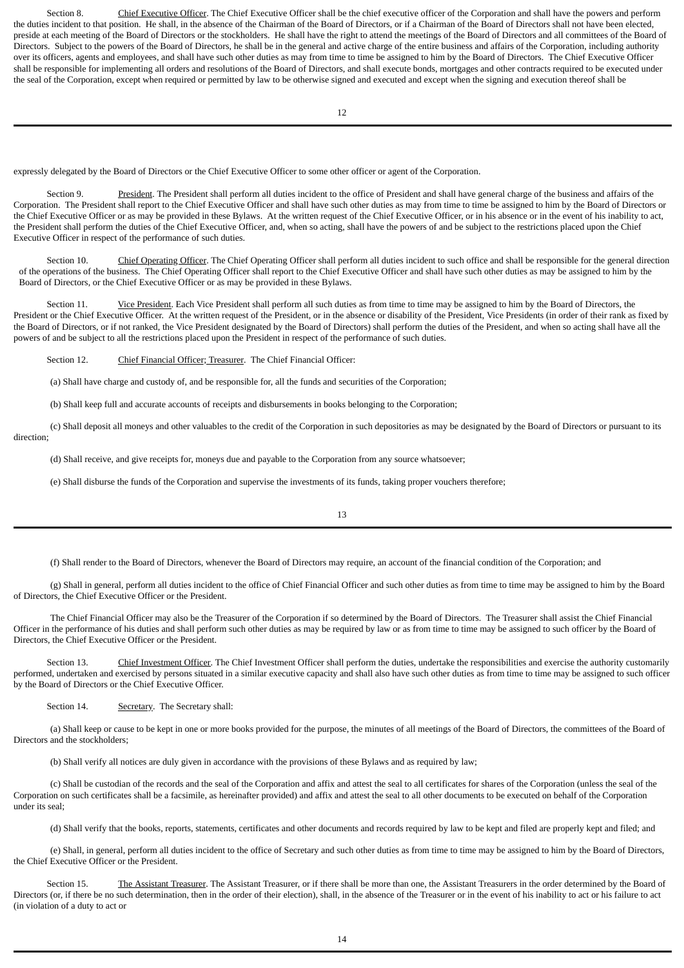Section 8. Chief Executive Officer. The Chief Executive Officer shall be the chief executive officer of the Corporation and shall have the powers and perform the duties incident to that position. He shall, in the absence of the Chairman of the Board of Directors, or if a Chairman of the Board of Directors shall not have been elected, preside at each meeting of the Board of Directors or the stockholders. He shall have the right to attend the meetings of the Board of Directors and all committees of the Board of Directors. Subject to the powers of the Board of Directors, he shall be in the general and active charge of the entire business and affairs of the Corporation, including authority over its officers, agents and employees, and shall have such other duties as may from time to time be assigned to him by the Board of Directors. The Chief Executive Officer shall be responsible for implementing all orders and resolutions of the Board of Directors, and shall execute bonds, mortgages and other contracts required to be executed under the seal of the Corporation, except when required or permitted by law to be otherwise signed and executed and except when the signing and execution thereof shall be

expressly delegated by the Board of Directors or the Chief Executive Officer to some other officer or agent of the Corporation.

<span id="page-13-0"></span>Section 9. President. The President shall perform all duties incident to the office of President and shall have general charge of the business and affairs of the Corporation. The President shall report to the Chief Executive Officer and shall have such other duties as may from time to time be assigned to him by the Board of Directors or the Chief Executive Officer or as may be provided in these Bylaws. At the written request of the Chief Executive Officer, or in his absence or in the event of his inability to act, the President shall perform the duties of the Chief Executive Officer, and, when so acting, shall have the powers of and be subject to the restrictions placed upon the Chief Executive Officer in respect of the performance of such duties.

<span id="page-13-1"></span>Section 10. Chief Operating Officer. The Chief Operating Officer shall perform all duties incident to such office and shall be responsible for the general direction of the operations of the business. The Chief Operating Officer shall report to the Chief Executive Officer and shall have such other duties as may be assigned to him by the Board of Directors, or the Chief Executive Officer or as may be provided in these Bylaws.

Section 11. Vice President. Each Vice President shall perform all such duties as from time to time may be assigned to him by the Board of Directors, the President or the Chief Executive Officer. At the written request of the President, or in the absence or disability of the President, Vice Presidents (in order of their rank as fixed by the Board of Directors, or if not ranked, the Vice President designated by the Board of Directors) shall perform the duties of the President, and when so acting shall have all the powers of and be subject to all the restrictions placed upon the President in respect of the performance of such duties.

<span id="page-13-2"></span>Section 12. Chief Financial Officer; Treasurer. The Chief Financial Officer:

<span id="page-13-3"></span>(a) Shall have charge and custody of, and be responsible for, all the funds and securities of the Corporation;

(b) Shall keep full and accurate accounts of receipts and disbursements in books belonging to the Corporation;

(c) Shall deposit all moneys and other valuables to the credit of the Corporation in such depositories as may be designated by the Board of Directors or pursuant to its direction;

(d) Shall receive, and give receipts for, moneys due and payable to the Corporation from any source whatsoever;

(e) Shall disburse the funds of the Corporation and supervise the investments of its funds, taking proper vouchers therefore;

(f) Shall render to the Board of Directors, whenever the Board of Directors may require, an account of the financial condition of the Corporation; and

(g) Shall in general, perform all duties incident to the office of Chief Financial Officer and such other duties as from time to time may be assigned to him by the Board of Directors, the Chief Executive Officer or the President.

The Chief Financial Officer may also be the Treasurer of the Corporation if so determined by the Board of Directors. The Treasurer shall assist the Chief Financial Officer in the performance of his duties and shall perform such other duties as may be required by law or as from time to time may be assigned to such officer by the Board of Directors, the Chief Executive Officer or the President.

Section 13. Chief Investment Officer. The Chief Investment Officer shall perform the duties, undertake the responsibilities and exercise the authority customarily performed, undertaken and exercised by persons situated in a similar executive capacity and shall also have such other duties as from time to time may be assigned to such officer by the Board of Directors or the Chief Executive Officer.

<span id="page-13-5"></span><span id="page-13-4"></span>Section 14. Secretary. The Secretary shall:

(a) Shall keep or cause to be kept in one or more books provided for the purpose, the minutes of all meetings of the Board of Directors, the committees of the Board of Directors and the stockholders:

(b) Shall verify all notices are duly given in accordance with the provisions of these Bylaws and as required by law;

(c) Shall be custodian of the records and the seal of the Corporation and affix and attest the seal to all certificates for shares of the Corporation (unless the seal of the Corporation on such certificates shall be a facsimile, as hereinafter provided) and affix and attest the seal to all other documents to be executed on behalf of the Corporation under its seal;

<span id="page-13-6"></span>(d) Shall verify that the books, reports, statements, certificates and other documents and records required by law to be kept and filed are properly kept and filed; and

(e) Shall, in general, perform all duties incident to the office of Secretary and such other duties as from time to time may be assigned to him by the Board of Directors, the Chief Executive Officer or the President.

Section 15. The Assistant Treasurer. The Assistant Treasurer, or if there shall be more than one, the Assistant Treasurers in the order determined by the Board of Directors (or, if there be no such determination, then in the order of their election), shall, in the absence of the Treasurer or in the event of his inability to act or his failure to act (in violation of a duty to act or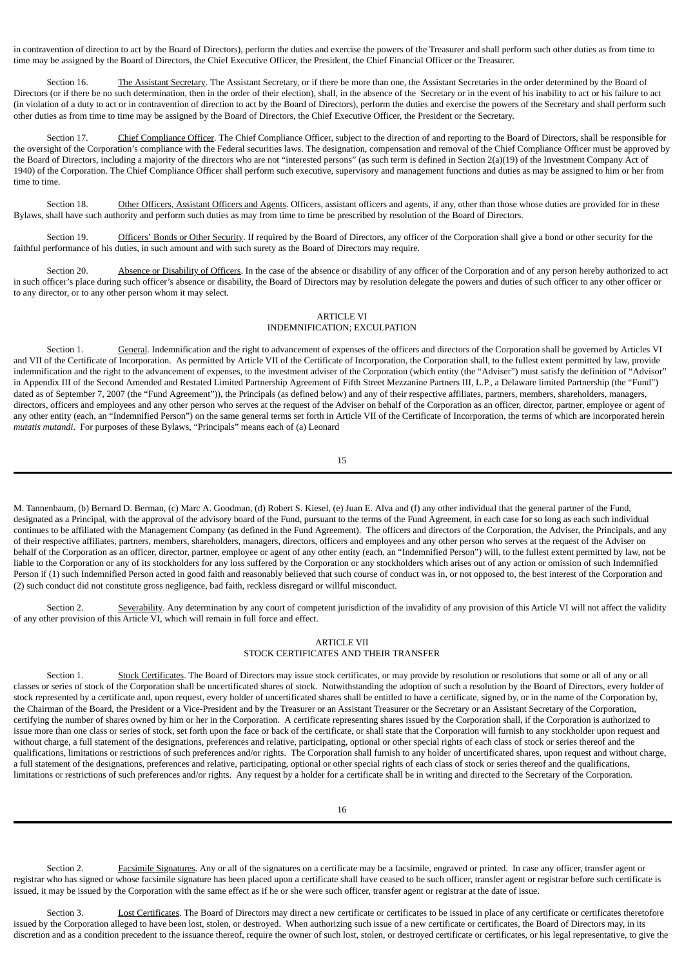in contravention of direction to act by the Board of Directors), perform the duties and exercise the powers of the Treasurer and shall perform such other duties as from time to time may be assigned by the Board of Directors, the Chief Executive Officer, the President, the Chief Financial Officer or the Treasurer.

<span id="page-14-0"></span>Section 16. The Assistant Secretary. The Assistant Secretary, or if there be more than one, the Assistant Secretaries in the order determined by the Board of Directors (or if there be no such determination, then in the order of their election), shall, in the absence of the Secretary or in the event of his inability to act or his failure to act (in violation of a duty to act or in contravention of direction to act by the Board of Directors), perform the duties and exercise the powers of the Secretary and shall perform such other duties as from time to time may be assigned by the Board of Directors, the Chief Executive Officer, the President or the Secretary.

<span id="page-14-1"></span>Section 17. Chief Compliance Officer. The Chief Compliance Officer, subject to the direction of and reporting to the Board of Directors, shall be responsible for the oversight of the Corporation's compliance with the Federal securities laws. The designation, compensation and removal of the Chief Compliance Officer must be approved by the Board of Directors, including a majority of the directors who are not "interested persons" (as such term is defined in Section 2(a)(19) of the Investment Company Act of 1940) of the Corporation. The Chief Compliance Officer shall perform such executive, supervisory and management functions and duties as may be assigned to him or her from time to time.

Section 18. Other Officers, Assistant Officers and Agents. Officers, assistant officers and agents, if any, other than those whose duties are provided for in these Bylaws, shall have such authority and perform such duties as may from time to time be prescribed by resolution of the Board of Directors.

Section 19. Officers' Bonds or Other Security. If required by the Board of Directors, any officer of the Corporation shall give a bond or other security for the faithful performance of his duties, in such amount and with such surety as the Board of Directors may require.

Section 20. Absence or Disability of Officers. In the case of the absence or disability of any officer of the Corporation and of any person hereby authorized to act in such officer's place during such officer's absence or disability, the Board of Directors may by resolution delegate the powers and duties of such officer to any other officer or to any director, or to any other person whom it may select.

## <span id="page-14-3"></span><span id="page-14-2"></span>ARTICLE VI INDEMNIFICATION; EXCULPATION

Section 1. General. Indemnification and the right to advancement of expenses of the officers and directors of the Corporation shall be governed by Articles VI and VII of the Certificate of Incorporation. As permitted by Article VII of the Certificate of Incorporation, the Corporation shall, to the fullest extent permitted by law, provide indemnification and the right to the advancement of expenses, to the investment adviser of the Corporation (which entity (the "Adviser") must satisfy the definition of "Advisor" in Appendix III of the Second Amended and Restated Limited Partnership Agreement of Fifth Street Mezzanine Partners III, L.P., a Delaware limited Partnership (the "Fund") dated as of September 7, 2007 (the "Fund Agreement")), the Principals (as defined below) and any of their respective affiliates, partners, members, shareholders, managers, directors, officers and employees and any other person who serves at the request of the Adviser on behalf of the Corporation as an officer, director, partner, employee or agent of any other entity (each, an "Indemnified Person") on the same general terms set forth in Article VII of the Certificate of Incorporation, the terms of which are incorporated herein *mutatis mutandi*. For purposes of these Bylaws, "Principals" means each of (a) Leonard

15

M. Tannenbaum, (b) Bernard D. Berman, (c) Marc A. Goodman, (d) Robert S. Kiesel, (e) Juan E. Alva and (f) any other individual that the general partner of the Fund, designated as a Principal, with the approval of the advisory board of the Fund, pursuant to the terms of the Fund Agreement, in each case for so long as each such individual continues to be affiliated with the Management Company (as defined in the Fund Agreement). The officers and directors of the Corporation, the Adviser, the Principals, and any of their respective affiliates, partners, members, shareholders, managers, directors, officers and employees and any other person who serves at the request of the Adviser on behalf of the Corporation as an officer, director, partner, employee or agent of any other entity (each, an "Indemnified Person") will, to the fullest extent permitted by law, not be liable to the Corporation or any of its stockholders for any loss suffered by the Corporation or any stockholders which arises out of any action or omission of such Indemnified Person if (1) such Indemnified Person acted in good faith and reasonably believed that such course of conduct was in, or not opposed to, the best interest of the Corporation and (2) such conduct did not constitute gross negligence, bad faith, reckless disregard or willful misconduct.

Section 2. Severability. Any determination by any court of competent jurisdiction of the invalidity of any provision of this Article VI will not affect the validity of any other provision of this Article VI, which will remain in full force and effect.

## <span id="page-14-5"></span><span id="page-14-4"></span>ARTICLE VII STOCK CERTIFICATES AND THEIR TRANSFER

Section 1. Stock Certificates. The Board of Directors may issue stock certificates, or may provide by resolution or resolutions that some or all of any or all classes or series of stock of the Corporation shall be uncertificated shares of stock. Notwithstanding the adoption of such a resolution by the Board of Directors, every holder of stock represented by a certificate and, upon request, every holder of uncertificated shares shall be entitled to have a certificate, signed by, or in the name of the Corporation by, the Chairman of the Board, the President or a Vice-President and by the Treasurer or an Assistant Treasurer or the Secretary or an Assistant Secretary of the Corporation, certifying the number of shares owned by him or her in the Corporation. A certificate representing shares issued by the Corporation shall, if the Corporation is authorized to issue more than one class or series of stock, set forth upon the face or back of the certificate, or shall state that the Corporation will furnish to any stockholder upon request and without charge, a full statement of the designations, preferences and relative, participating, optional or other special rights of each class of stock or series thereof and the qualifications, limitations or restrictions of such preferences and/or rights. The Corporation shall furnish to any holder of uncertificated shares, upon request and without charge, a full statement of the designations, preferences and relative, participating, optional or other special rights of each class of stock or series thereof and the qualifications, limitations or restrictions of such preferences and/or rights. Any request by a holder for a certificate shall be in writing and directed to the Secretary of the Corporation.

<span id="page-14-6"></span>Section 2. Facsimile Signatures. Any or all of the signatures on a certificate may be a facsimile, engraved or printed. In case any officer, transfer agent or registrar who has signed or whose facsimile signature has been placed upon a certificate shall have ceased to be such officer, transfer agent or registrar before such certificate is issued, it may be issued by the Corporation with the same effect as if he or she were such officer, transfer agent or registrar at the date of issue.

<span id="page-14-7"></span>Section 3. Lost Certificates. The Board of Directors may direct a new certificate or certificates to be issued in place of any certificate or certificates theretofore issued by the Corporation alleged to have been lost, stolen, or destroyed. When authorizing such issue of a new certificate or certificates, the Board of Directors may, in its discretion and as a condition precedent to the issuance thereof, require the owner of such lost, stolen, or destroyed certificate or certificates, or his legal representative, to give the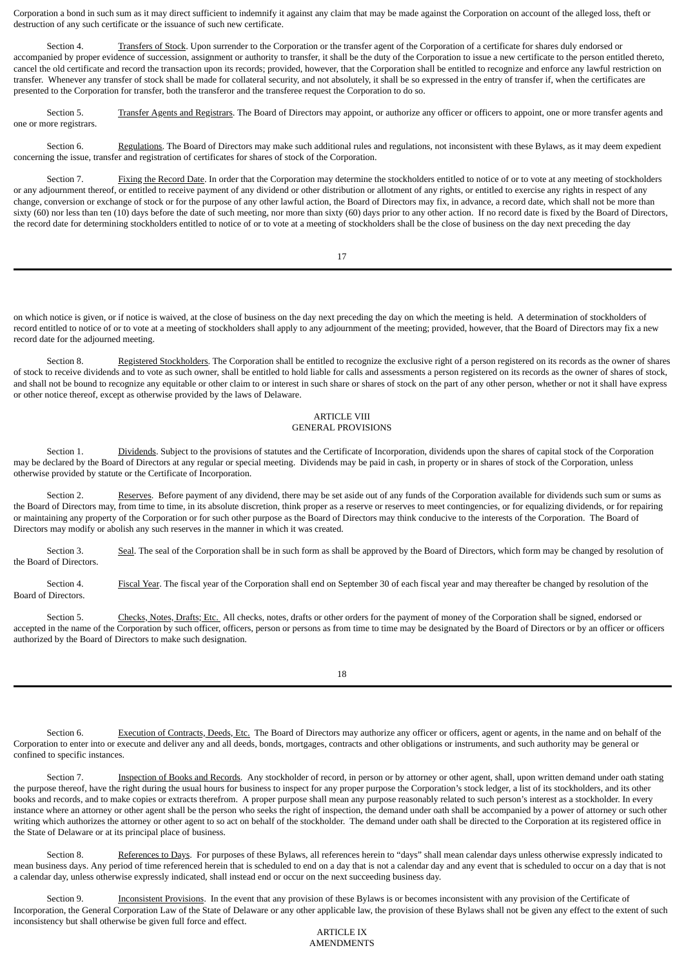Corporation a bond in such sum as it may direct sufficient to indemnify it against any claim that may be made against the Corporation on account of the alleged loss, theft or destruction of any such certificate or the issuance of such new certificate.

<span id="page-15-0"></span>Section 4. Transfers of Stock. Upon surrender to the Corporation or the transfer agent of the Corporation of a certificate for shares duly endorsed or accompanied by proper evidence of succession, assignment or authority to transfer, it shall be the duty of the Corporation to issue a new certificate to the person entitled thereto, cancel the old certificate and record the transaction upon its records; provided, however, that the Corporation shall be entitled to recognize and enforce any lawful restriction on transfer. Whenever any transfer of stock shall be made for collateral security, and not absolutely, it shall be so expressed in the entry of transfer if, when the certificates are presented to the Corporation for transfer, both the transferor and the transferee request the Corporation to do so.

Section 5. Transfer Agents and Registrars. The Board of Directors may appoint, or authorize any officer or officers to appoint, one or more transfer agents and one or more registrars.

<span id="page-15-2"></span>Section 6. Regulations. The Board of Directors may make such additional rules and regulations, not inconsistent with these Bylaws, as it may deem expedient concerning the issue, transfer and registration of certificates for shares of stock of the Corporation.

Section 7. Fixing the Record Date. In order that the Corporation may determine the stockholders entitled to notice of or to vote at any meeting of stockholders or any adjournment thereof, or entitled to receive payment of any dividend or other distribution or allotment of any rights, or entitled to exercise any rights in respect of any change, conversion or exchange of stock or for the purpose of any other lawful action, the Board of Directors may fix, in advance, a record date, which shall not be more than sixty (60) nor less than ten (10) days before the date of such meeting, nor more than sixty (60) days prior to any other action. If no record date is fixed by the Board of Directors, the record date for determining stockholders entitled to notice of or to vote at a meeting of stockholders shall be the close of business on the day next preceding the day

<span id="page-15-3"></span><span id="page-15-1"></span>17

on which notice is given, or if notice is waived, at the close of business on the day next preceding the day on which the meeting is held. A determination of stockholders of record entitled to notice of or to vote at a meeting of stockholders shall apply to any adjournment of the meeting; provided, however, that the Board of Directors may fix a new record date for the adjourned meeting.

Section 8. Registered Stockholders. The Corporation shall be entitled to recognize the exclusive right of a person registered on its records as the owner of shares of stock to receive dividends and to vote as such owner, shall be entitled to hold liable for calls and assessments a person registered on its records as the owner of shares of stock, and shall not be bound to recognize any equitable or other claim to or interest in such share or shares of stock on the part of any other person, whether or not it shall have express or other notice thereof, except as otherwise provided by the laws of Delaware.

## <span id="page-15-5"></span><span id="page-15-4"></span>ARTICLE VIII GENERAL PROVISIONS

Section 1. Dividends. Subject to the provisions of statutes and the Certificate of Incorporation, dividends upon the shares of capital stock of the Corporation may be declared by the Board of Directors at any regular or special meeting. Dividends may be paid in cash, in property or in shares of stock of the Corporation, unless otherwise provided by statute or the Certificate of Incorporation.

<span id="page-15-6"></span>Section 2. Reserves. Before payment of any dividend, there may be set aside out of any funds of the Corporation available for dividends such sum or sums as the Board of Directors may, from time to time, in its absolute discretion, think proper as a reserve or reserves to meet contingencies, or for equalizing dividends, or for repairing or maintaining any property of the Corporation or for such other purpose as the Board of Directors may think conducive to the interests of the Corporation. The Board of Directors may modify or abolish any such reserves in the manner in which it was created.

<span id="page-15-7"></span>Section 3. Seal. The seal of the Corporation shall be in such form as shall be approved by the Board of Directors, which form may be changed by resolution of the Board of Directors.

<span id="page-15-8"></span>Section 4. Fiscal Year. The fiscal year of the Corporation shall end on September 30 of each fiscal year and may thereafter be changed by resolution of the Board of Directors.

Section 5. Checks, Notes, Drafts; Etc. All checks, notes, drafts or other orders for the payment of money of the Corporation shall be signed, endorsed or accepted in the name of the Corporation by such officer, officers, person or persons as from time to time may be designated by the Board of Directors or by an officer or officers authorized by the Board of Directors to make such designation.

<span id="page-15-11"></span><span id="page-15-10"></span><span id="page-15-9"></span>18

Section 6. Execution of Contracts, Deeds, Etc. The Board of Directors may authorize any officer or officers, agent or agents, in the name and on behalf of the Corporation to enter into or execute and deliver any and all deeds, bonds, mortgages, contracts and other obligations or instruments, and such authority may be general or confined to specific instances.

Section 7. Inspection of Books and Records. Any stockholder of record, in person or by attorney or other agent, shall, upon written demand under oath stating the purpose thereof, have the right during the usual hours for business to inspect for any proper purpose the Corporation's stock ledger, a list of its stockholders, and its other books and records, and to make copies or extracts therefrom. A proper purpose shall mean any purpose reasonably related to such person's interest as a stockholder. In every instance where an attorney or other agent shall be the person who seeks the right of inspection, the demand under oath shall be accompanied by a power of attorney or such other writing which authorizes the attorney or other agent to so act on behalf of the stockholder. The demand under oath shall be directed to the Corporation at its registered office in the State of Delaware or at its principal place of business.

Section 8. References to Days. For purposes of these Bylaws, all references herein to "days" shall mean calendar days unless otherwise expressly indicated to mean business days. Any period of time referenced herein that is scheduled to end on a day that is not a calendar day and any event that is scheduled to occur on a day that is not a calendar day, unless otherwise expressly indicated, shall instead end or occur on the next succeeding business day.

Section 9. Inconsistent Provisions. In the event that any provision of these Bylaws is or becomes inconsistent with any provision of the Certificate of Incorporation, the General Corporation Law of the State of Delaware or any other applicable law, the provision of these Bylaws shall not be given any effect to the extent of such inconsistency but shall otherwise be given full force and effect.

<span id="page-15-14"></span><span id="page-15-13"></span><span id="page-15-12"></span>ARTICLE IX AMENDMENTS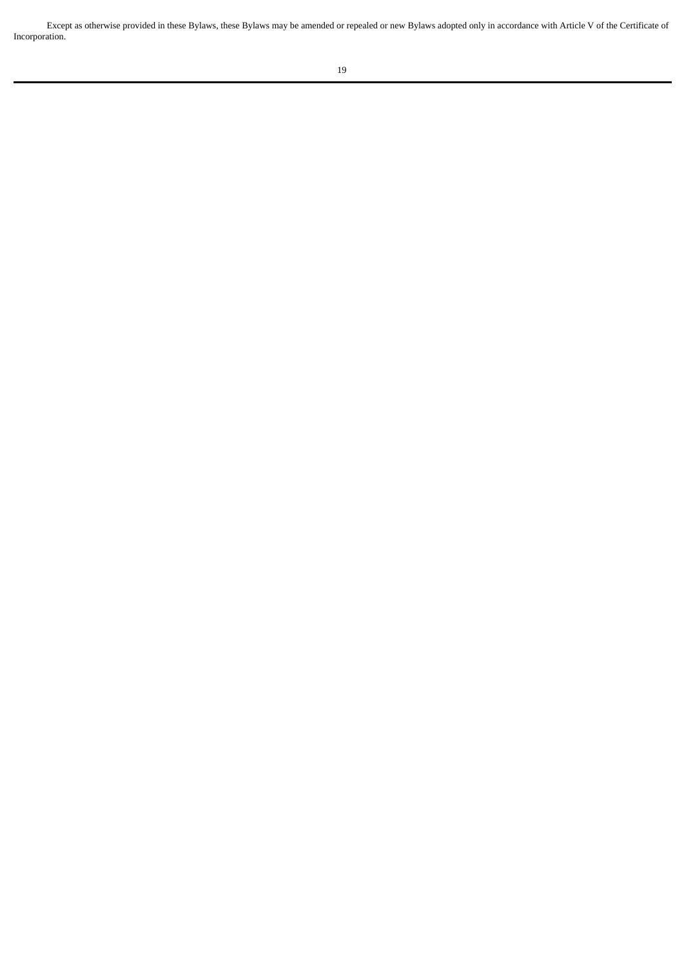Except as otherwise provided in these Bylaws, these Bylaws may be amended or repealed or new Bylaws adopted only in accordance with Article V of the Certificate of Incorporation.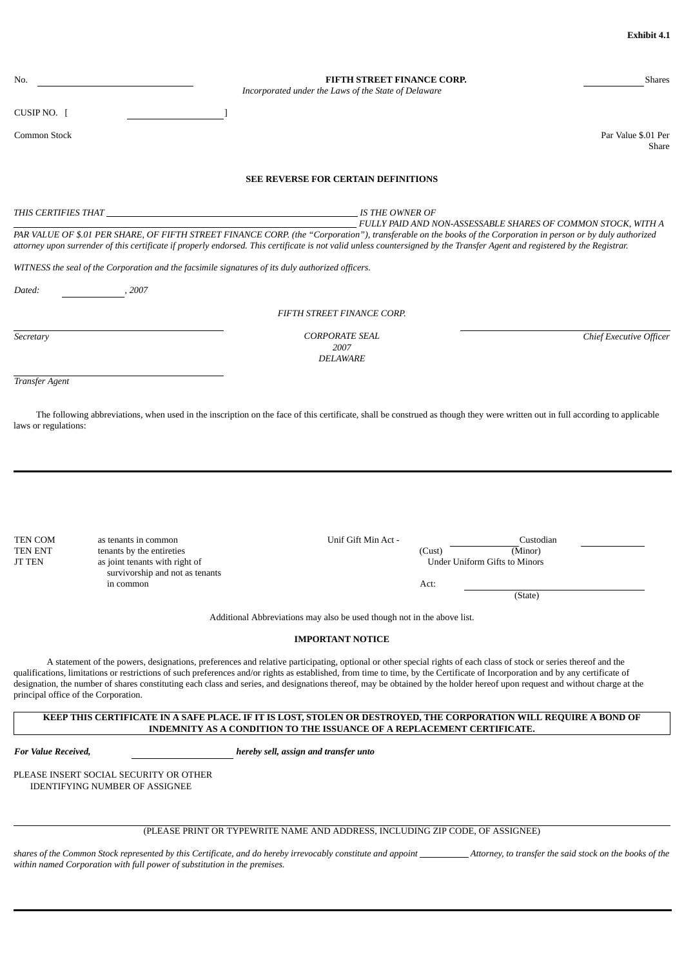| No.                                        |                                                                                                                                     | <b>FIFTH STREET FINANCE CORP.</b><br>Incorporated under the Laws of the State of Delaware                                                                                                                                                                                                                                                                                                                                                                                                                                           | Shares                                                                  |
|--------------------------------------------|-------------------------------------------------------------------------------------------------------------------------------------|-------------------------------------------------------------------------------------------------------------------------------------------------------------------------------------------------------------------------------------------------------------------------------------------------------------------------------------------------------------------------------------------------------------------------------------------------------------------------------------------------------------------------------------|-------------------------------------------------------------------------|
| CUSIP NO. $\lceil$                         |                                                                                                                                     |                                                                                                                                                                                                                                                                                                                                                                                                                                                                                                                                     |                                                                         |
| Common Stock                               |                                                                                                                                     |                                                                                                                                                                                                                                                                                                                                                                                                                                                                                                                                     | Par Value \$.01 Per<br>Share                                            |
|                                            |                                                                                                                                     | <b>SEE REVERSE FOR CERTAIN DEFINITIONS</b>                                                                                                                                                                                                                                                                                                                                                                                                                                                                                          |                                                                         |
|                                            |                                                                                                                                     |                                                                                                                                                                                                                                                                                                                                                                                                                                                                                                                                     |                                                                         |
|                                            |                                                                                                                                     | IS THE OWNER OF<br>PAR VALUE OF \$.01 PER SHARE, OF FIFTH STREET FINANCE CORP. (the "Corporation"), transferable on the books of the Corporation in person or by duly authorized<br>attorney upon surrender of this certificate if properly endorsed. This certificate is not valid unless countersigned by the Transfer Agent and registered by the Registrar.                                                                                                                                                                     | FULLY PAID AND NON-ASSESSABLE SHARES OF COMMON STOCK, WITH A            |
|                                            | WITNESS the seal of the Corporation and the facsimile signatures of its duly authorized officers.                                   |                                                                                                                                                                                                                                                                                                                                                                                                                                                                                                                                     |                                                                         |
| Dated:                                     | , 2007                                                                                                                              |                                                                                                                                                                                                                                                                                                                                                                                                                                                                                                                                     |                                                                         |
|                                            |                                                                                                                                     | FIFTH STREET FINANCE CORP.                                                                                                                                                                                                                                                                                                                                                                                                                                                                                                          |                                                                         |
| Secretary                                  |                                                                                                                                     | <b>CORPORATE SEAL</b><br>2007<br><b>DELAWARE</b>                                                                                                                                                                                                                                                                                                                                                                                                                                                                                    | Chief Executive Officer                                                 |
| <b>Transfer Agent</b>                      |                                                                                                                                     |                                                                                                                                                                                                                                                                                                                                                                                                                                                                                                                                     |                                                                         |
| TEN COM<br><b>TEN ENT</b><br><b>JT TEN</b> | as tenants in common<br>tenants by the entireties<br>as joint tenants with right of<br>survivorship and not as tenants<br>in common | Unif Gift Min Act -<br>(Cust)<br>Act:                                                                                                                                                                                                                                                                                                                                                                                                                                                                                               | Custodian<br>(Minor)<br><b>Under Uniform Gifts to Minors</b><br>(State) |
|                                            |                                                                                                                                     | Additional Abbreviations may also be used though not in the above list.                                                                                                                                                                                                                                                                                                                                                                                                                                                             |                                                                         |
|                                            |                                                                                                                                     | <b>IMPORTANT NOTICE</b>                                                                                                                                                                                                                                                                                                                                                                                                                                                                                                             |                                                                         |
| principal office of the Corporation.       |                                                                                                                                     | A statement of the powers, designations, preferences and relative participating, optional or other special rights of each class of stock or series thereof and the<br>qualifications, limitations or restrictions of such preferences and/or rights as established, from time to time, by the Certificate of Incorporation and by any certificate of<br>designation, the number of shares constituting each class and series, and designations thereof, may be obtained by the holder hereof upon request and without charge at the |                                                                         |
|                                            |                                                                                                                                     | KEEP THIS CERTIFICATE IN A SAFE PLACE. IF IT IS LOST, STOLEN OR DESTROYED, THE CORPORATION WILL REQUIRE A BOND OF<br>INDEMNITY AS A CONDITION TO THE ISSUANCE OF A REPLACEMENT CERTIFICATE.                                                                                                                                                                                                                                                                                                                                         |                                                                         |
| <b>For Value Received,</b>                 |                                                                                                                                     | hereby sell, assign and transfer unto                                                                                                                                                                                                                                                                                                                                                                                                                                                                                               |                                                                         |
|                                            | PLEASE INSERT SOCIAL SECURITY OR OTHER<br><b>IDENTIFYING NUMBER OF ASSIGNEE</b>                                                     |                                                                                                                                                                                                                                                                                                                                                                                                                                                                                                                                     |                                                                         |
|                                            |                                                                                                                                     | (PLEASE PRINT OR TYPEWRITE NAME AND ADDRESS, INCLUDING ZIP CODE, OF ASSIGNEE)                                                                                                                                                                                                                                                                                                                                                                                                                                                       |                                                                         |
|                                            | within named Corporation with full power of substitution in the premises.                                                           |                                                                                                                                                                                                                                                                                                                                                                                                                                                                                                                                     |                                                                         |